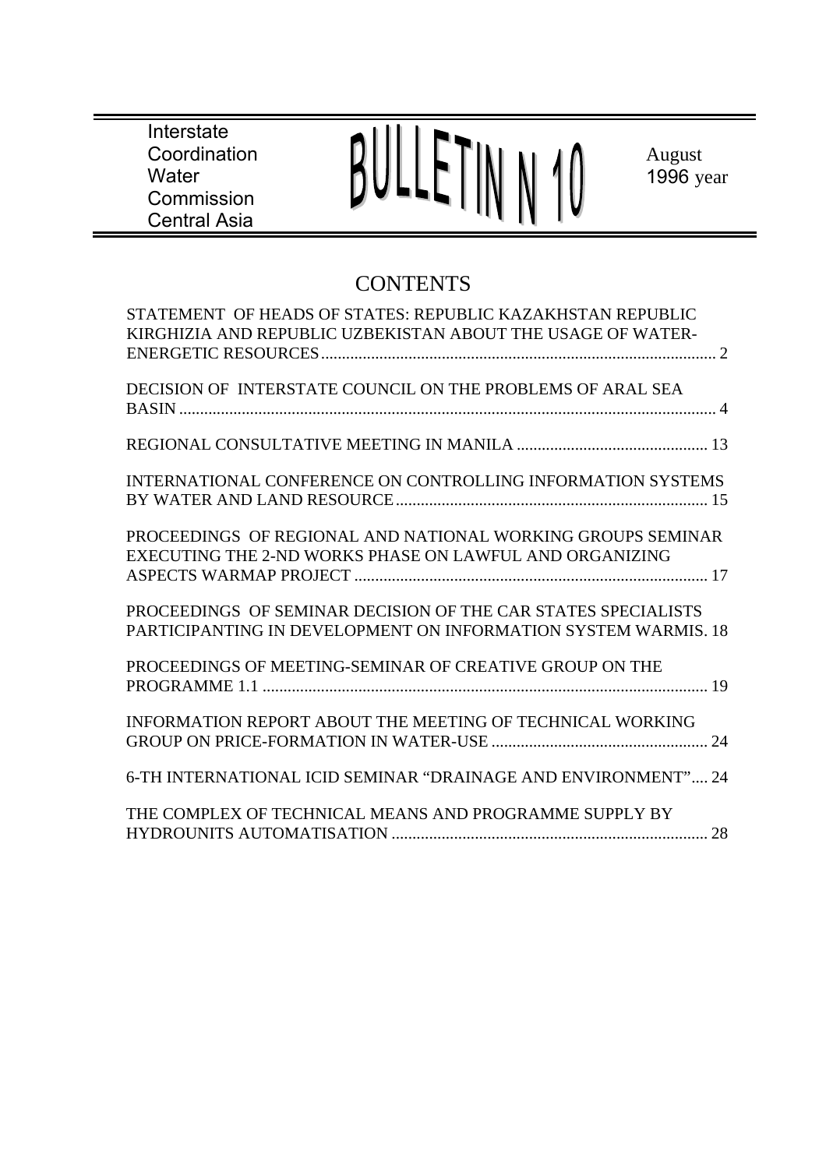**Interstate** Coordination **Water** Commission Central Asia



August 1996 year

# **CONTENTS**

| STATEMENT OF HEADS OF STATES: REPUBLIC KAZAKHSTAN REPUBLIC<br>KIRGHIZIA AND REPUBLIC UZBEKISTAN ABOUT THE USAGE OF WATER-       |
|---------------------------------------------------------------------------------------------------------------------------------|
|                                                                                                                                 |
| DECISION OF INTERSTATE COUNCIL ON THE PROBLEMS OF ARAL SEA                                                                      |
|                                                                                                                                 |
| <b>INTERNATIONAL CONFERENCE ON CONTROLLING INFORMATION SYSTEMS</b>                                                              |
| PROCEEDINGS OF REGIONAL AND NATIONAL WORKING GROUPS SEMINAR<br>EXECUTING THE 2-ND WORKS PHASE ON LAWFUL AND ORGANIZING          |
| PROCEEDINGS OF SEMINAR DECISION OF THE CAR STATES SPECIALISTS<br>PARTICIPANTING IN DEVELOPMENT ON INFORMATION SYSTEM WARMIS, 18 |
| PROCEEDINGS OF MEETING-SEMINAR OF CREATIVE GROUP ON THE                                                                         |
| <b>INFORMATION REPORT ABOUT THE MEETING OF TECHNICAL WORKING</b>                                                                |
| 6-TH INTERNATIONAL ICID SEMINAR "DRAINAGE AND ENVIRONMENT" 24                                                                   |
| THE COMPLEX OF TECHNICAL MEANS AND PROGRAMME SUPPLY BY                                                                          |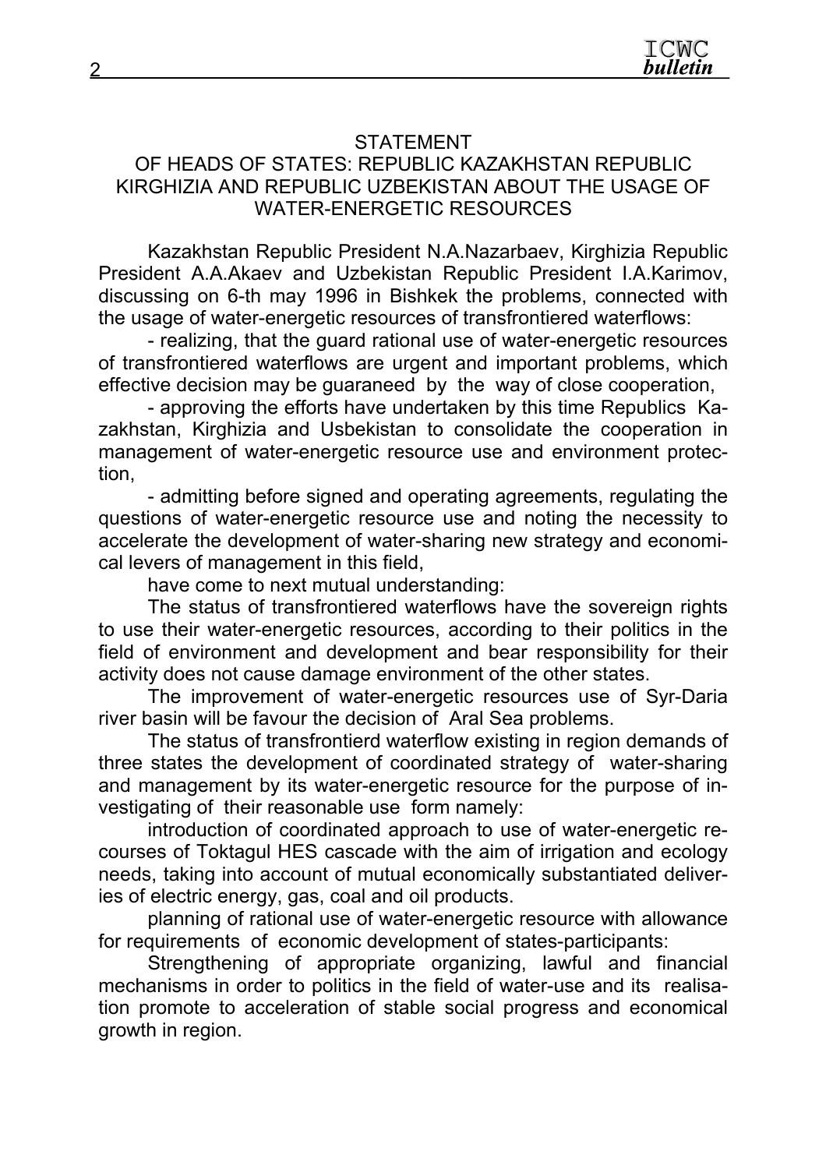# STATEMENT

# OF HEADS OF STATES: REPUBLIC KAZAKHSTAN REPUBLIC KIRGHIZIA AND REPUBLIC UZBEKISTAN ABOUT THE USAGE OF WATER-ENERGETIC RESOURCES

Kazakhstan Republic President N.A.Nazarbaev, Kirghizia Republic President A.A.Akaev and Uzbekistan Republic President I.A.Karimov, discussing on 6-th may 1996 in Bishkek the problems, connected with the usage of water-energetic resources of transfrontiered waterflows:

- realizing, that the guard rational use of water-energetic resources of transfrontiered waterflows are urgent and important problems, which effective decision may be guaraneed by the way of close cooperation,

- approving the efforts have undertaken by this time Republics Kazakhstan, Kirghizia and Usbekistan to consolidate the cooperation in management of water-energetic resource use and environment protection,

- admitting before signed and operating agreements, regulating the questions of water-energetic resource use and noting the necessity to accelerate the development of water-sharing new strategy and economical levers of management in this field,

have come to next mutual understanding:

The status of transfrontiered waterflows have the sovereign rights to use their water-energetic resources, according to their politics in the field of environment and development and bear responsibility for their activity does not cause damage environment of the other states.

The improvement of water-energetic resources use of Syr-Daria river basin will be favour the decision of Aral Sea problems.

The status of transfrontierd waterflow existing in region demands of three states the development of coordinated strategy of water-sharing and management by its water-energetic resource for the purpose of investigating of their reasonable use form namely:

introduction of coordinated approach to use of water-energetic recourses of Toktagul HES cascade with the aim of irrigation and ecology needs, taking into account of mutual economically substantiated deliveries of electric energy, gas, coal and oil products.

planning of rational use of water-energetic resource with allowance for requirements of economic development of states-participants:

Strengthening of appropriate organizing, lawful and financial mechanisms in order to politics in the field of water-use and its realisation promote to acceleration of stable social progress and economical growth in region.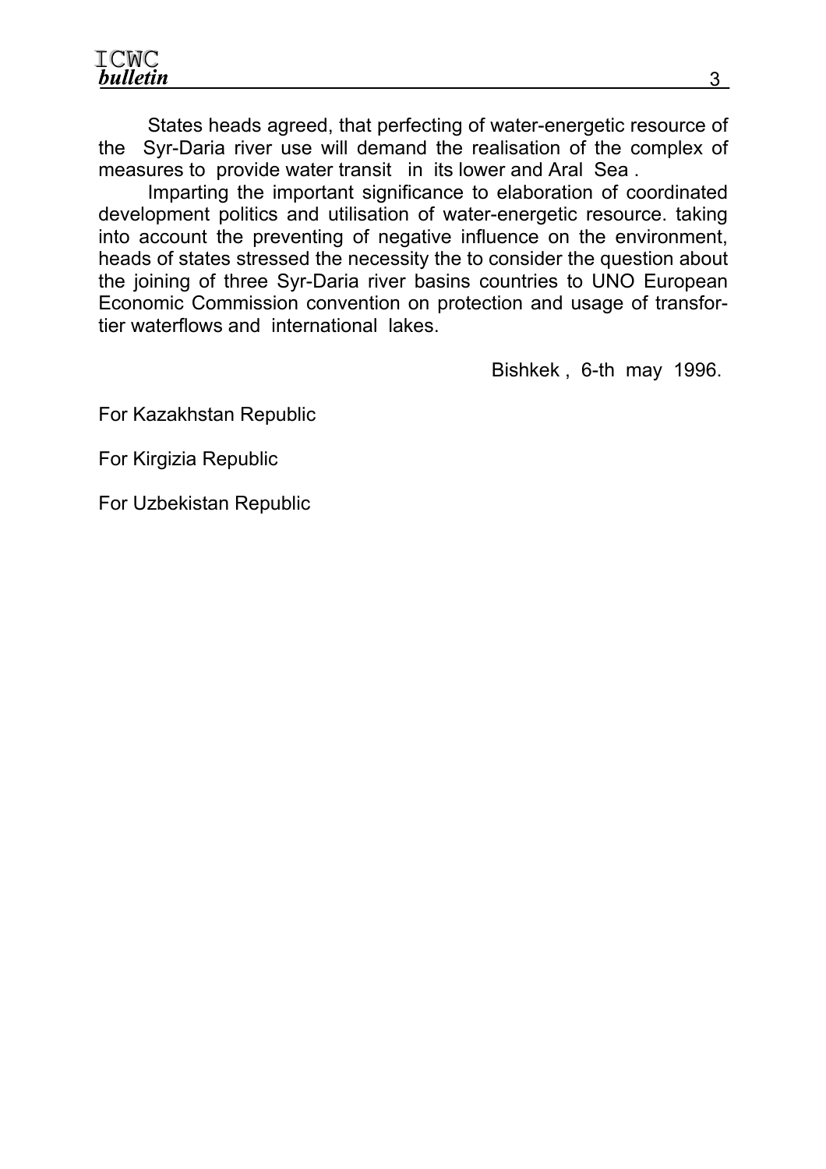States heads agreed, that perfecting of water-energetic resource of the Syr-Daria river use will demand the realisation of the complex of measures to provide water transit in its lower and Aral Sea .

Imparting the important significance to elaboration of coordinated development politics and utilisation of water-energetic resource. taking into account the preventing of negative influence on the environment, heads of states stressed the necessity the to consider the question about the joining of three Syr-Daria river basins countries to UNO European Economic Commission convention on protection and usage of transfortier waterflows and international lakes.

Bishkek , 6-th may 1996.

For Kazakhstan Republic

For Kirgizia Republic

For Uzbekistan Republic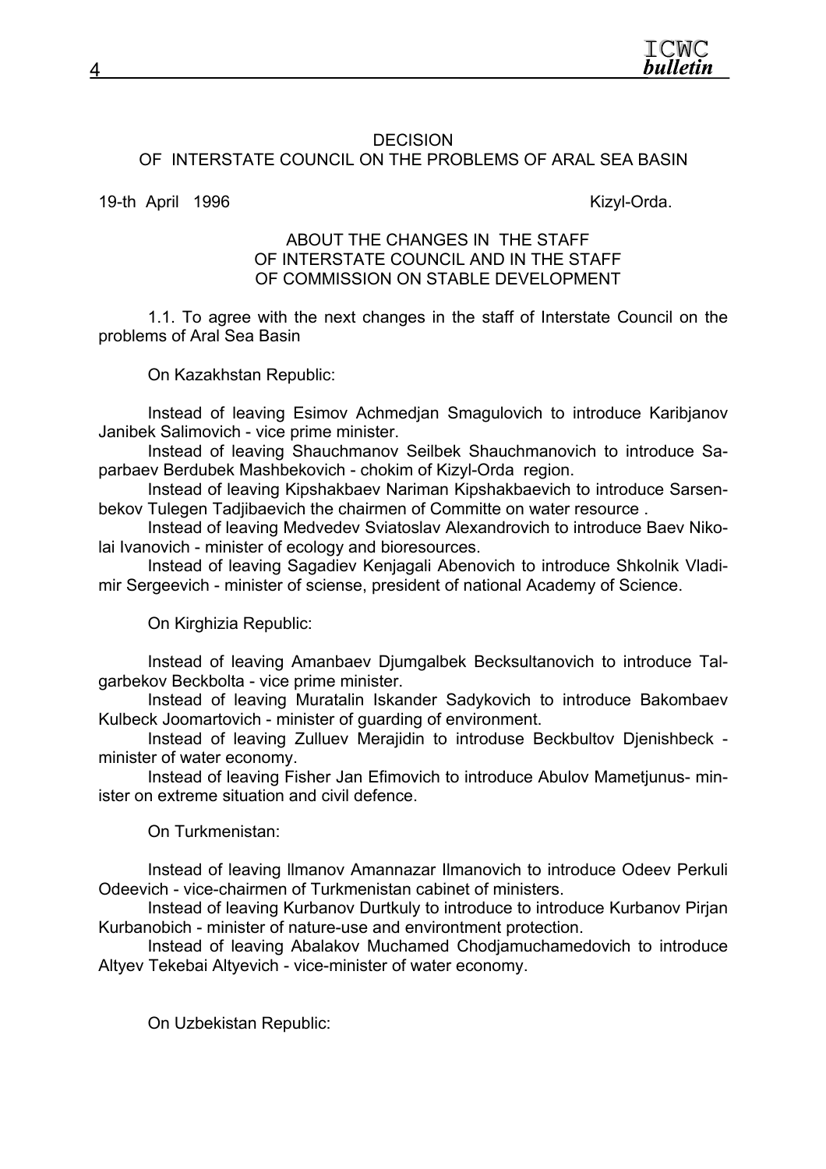

#### **DECISION** OF INTERSTATE COUNCIL ON THE PROBLEMS OF ARAL SEA BASIN

19-th April 1996 **Kizyl-Orda**.

#### ABOUT THE CHANGES IN THE STAFF OF INTERSTATE COUNCIL AND IN THE STAFF OF COMMISSION ON STABLE DEVELOPMENT

1.1. To agree with the next changes in the staff of Interstate Council on the problems of Aral Sea Basin

On Kazakhstan Republic:

Instead of leaving Esimov Achmedjan Smagulovich to introduce Karibjanov Janibek Salimovich - vice prime minister.

Instead of leaving Shauchmanov Seilbek Shauchmanovich to introduce Saparbaev Berdubek Mashbekovich - chokim of Kizyl-Orda region.

Instead of leaving Kipshakbaev Nariman Kipshakbaevich to introduce Sarsenbekov Tulegen Tadjibaevich the chairmen of Committe on water resource .

Instead of leaving Medvedev Sviatoslav Alexandrovich to introduce Baev Nikolai Ivanovich - minister of ecology and bioresources.

Instead of leaving Sagadiev Kenjagali Abenovich to introduce Shkolnik Vladimir Sergeevich - minister of sciense, president of national Academy of Science.

On Kirghizia Republic:

Instead of leaving Amanbaev Djumgalbek Becksultanovich to introduce Talgarbekov Beckbolta - vice prime minister.

Instead of leaving Muratalin Iskander Sadykovich to introduce Bakombaev Kulbeck Joomartovich - minister of guarding of environment.

Instead of leaving Zulluev Merajidin to introduse Beckbultov Djenishbeck minister of water economy.

Instead of leaving Fisher Jan Efimovich to introduce Abulov Mametjunus- minister on extreme situation and civil defence.

On Turkmenistan:

Instead of leaving llmanov Amannazar Ilmanovich to introduce Odeev Perkuli Odeevich - vice-chairmen of Turkmenistan cabinet of ministers.

Instead of leaving Kurbanov Durtkuly to introduce to introduce Kurbanov Pirjan Kurbanobich - minister of nature-use and environtment protection.

Instead of leaving Abalakov Muchamed Chodjamuchamedovich to introduce Altyev Tekebai Altyevich - vice-minister of water economy.

On Uzbekistan Republic: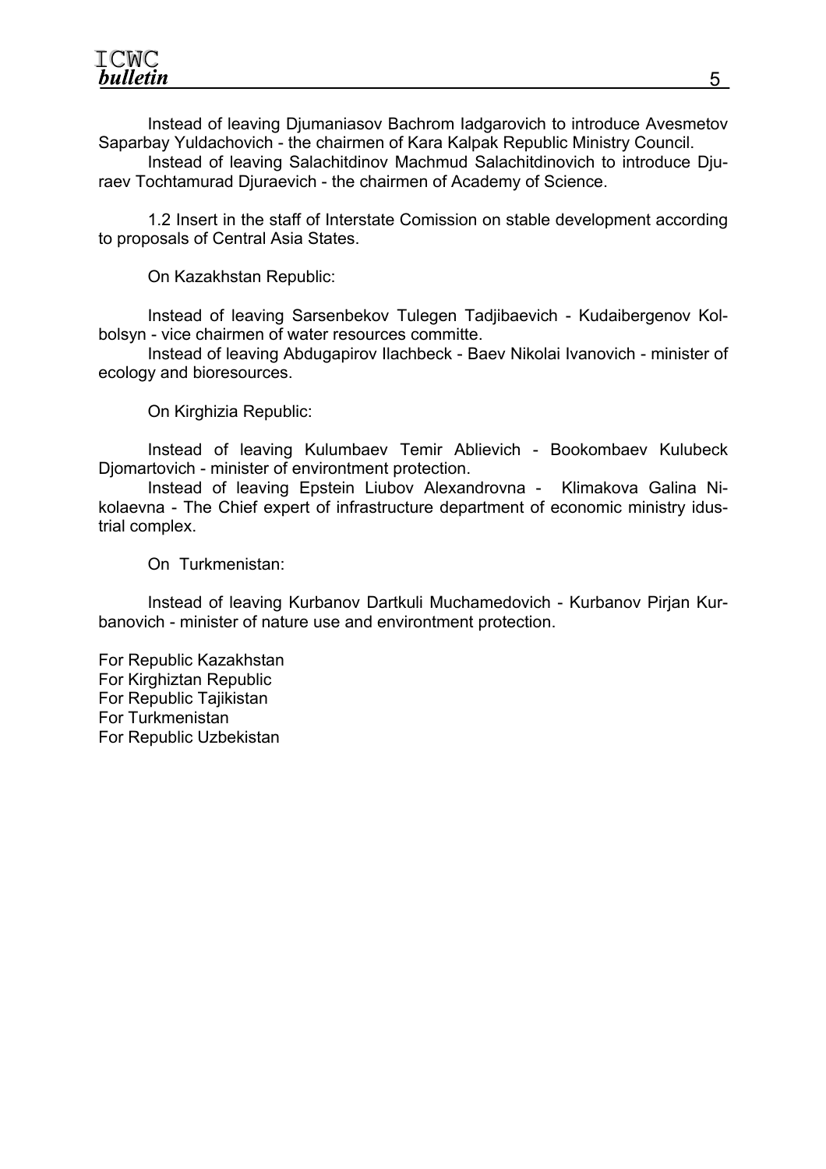ICWC **bulletin** 

Instead of leaving Djumaniasov Bachrom Iadgarovich to introduce Avesmetov Saparbay Yuldachovich - the chairmen of Kara Kalpak Republic Ministry Council.

Instead of leaving Salachitdinov Machmud Salachitdinovich to introduce Djuraev Tochtamurad Djuraevich - the chairmen of Academy of Science.

1.2 Insert in the staff of Interstate Comission on stable development according to proposals of Central Asia States.

On Kazakhstan Republic:

Instead of leaving Sarsenbekov Tulegen Tadjibaevich - Kudaibergenov Kolbolsyn - vice chairmen of water resources committe.

Instead of leaving Abdugapirov Ilachbeck - Baev Nikolai Ivanovich - minister of ecology and bioresources.

On Kirghizia Republic:

Instead of leaving Kulumbaev Temir Ablievich - Bookombaev Kulubeck Djomartovich - minister of environtment protection.

Instead of leaving Epstein Liubov Alexandrovna - Klimakova Galina Nikolaevna - The Chief expert of infrastructure department of economic ministry idustrial complex.

On Turkmenistan:

Instead of leaving Kurbanov Dartkuli Muchamedovich - Kurbanov Pirjan Kurbanovich - minister of nature use and environtment protection.

For Republic Kazakhstan For Kirghiztan Republic For Republic Tajikistan For Turkmenistan For Republic Uzbekistan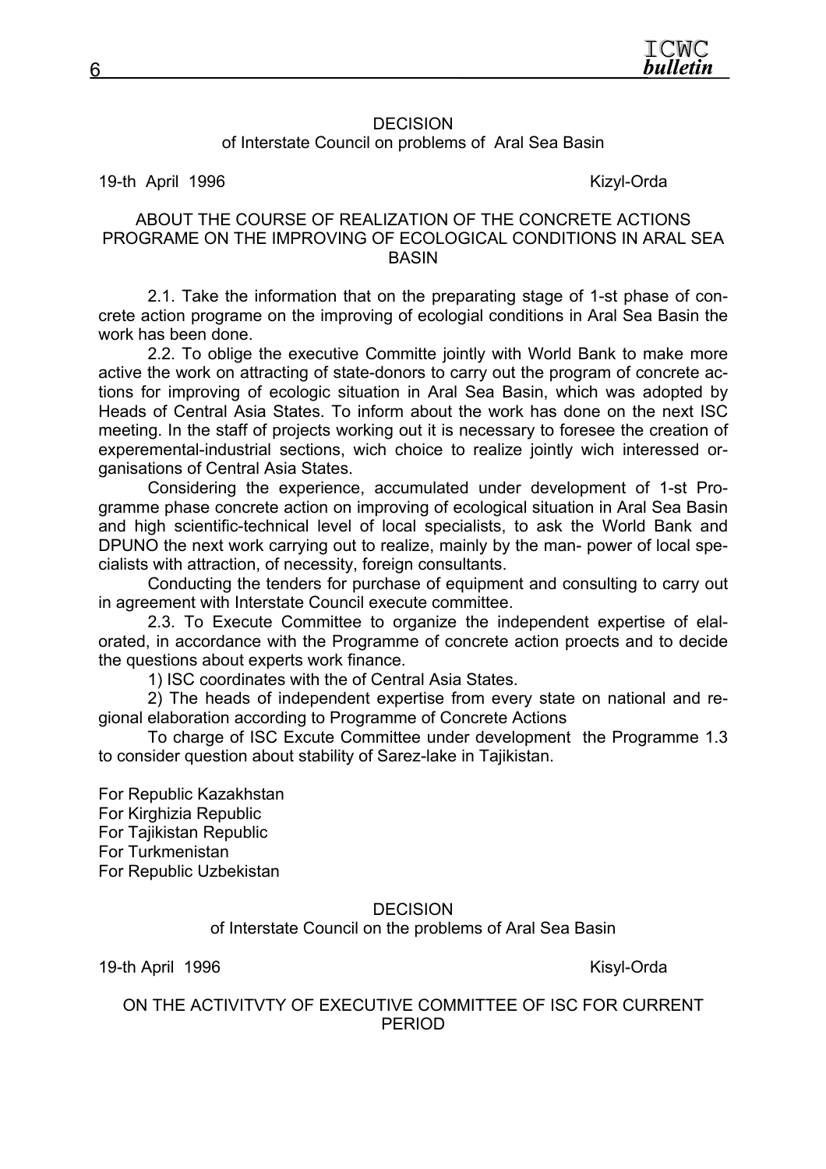#### **DECISION** of Interstate Council on problems of Aral Sea Basin

19-th April 1996 **Kizyl-Orda** 

#### ABOUT THE COURSE OF REALIZATION OF THE CONCRETE ACTIONS PROGRAME ON THE IMPROVING OF ECOLOGICAL CONDITIONS IN ARAL SEA **BASIN**

2.1. Take the information that on the preparating stage of 1-st phase of concrete action programe on the improving of ecologial conditions in Aral Sea Basin the work has been done.

2.2. To oblige the executive Committe jointly with World Bank to make more active the work on attracting of state-donors to carry out the program of concrete actions for improving of ecologic situation in Aral Sea Basin, which was adopted by Heads of Central Asia States. To inform about the work has done on the next ISC meeting. In the staff of projects working out it is necessary to foresee the creation of experemental-industrial sections, wich choice to realize jointly wich interessed organisations of Central Asia States.

Considering the experience, accumulated under development of 1-st Programme phase concrete action on improving of ecological situation in Aral Sea Basin and high scientific-technical level of local specialists, to ask the World Bank and DPUNO the next work carrying out to realize, mainly by the man- power of local specialists with attraction, of necessity, foreign consultants.

Conducting the tenders for purchase of equipment and consulting to carry out in agreement with Interstate Council execute committee.

2.3. To Execute Committee to organize the independent expertise of elalorated, in accordance with the Programme of concrete action proects and to decide the questions about experts work finance.

1) ISC coordinates with the of Central Asia States.

2) The heads of independent expertise from every state on national and regional elaboration according to Programme of Concrete Actions

To charge of ISC Excute Committee under development the Programme 1.3 to consider question about stability of Sarez-lake in Tajikistan.

For Republic Kazakhstan For Kirghizia Republic For Tajikistan Republic For Turkmenistan For Republic Uzbekistan

#### **DECISION**

of Interstate Council on the problems of Aral Sea Basin

19-th April 1996 Kisyl-Orda

ON THE ACTIVITVTY OF EXECUTIVE COMMITTEE OF ISC FOR CURRENT PERIOD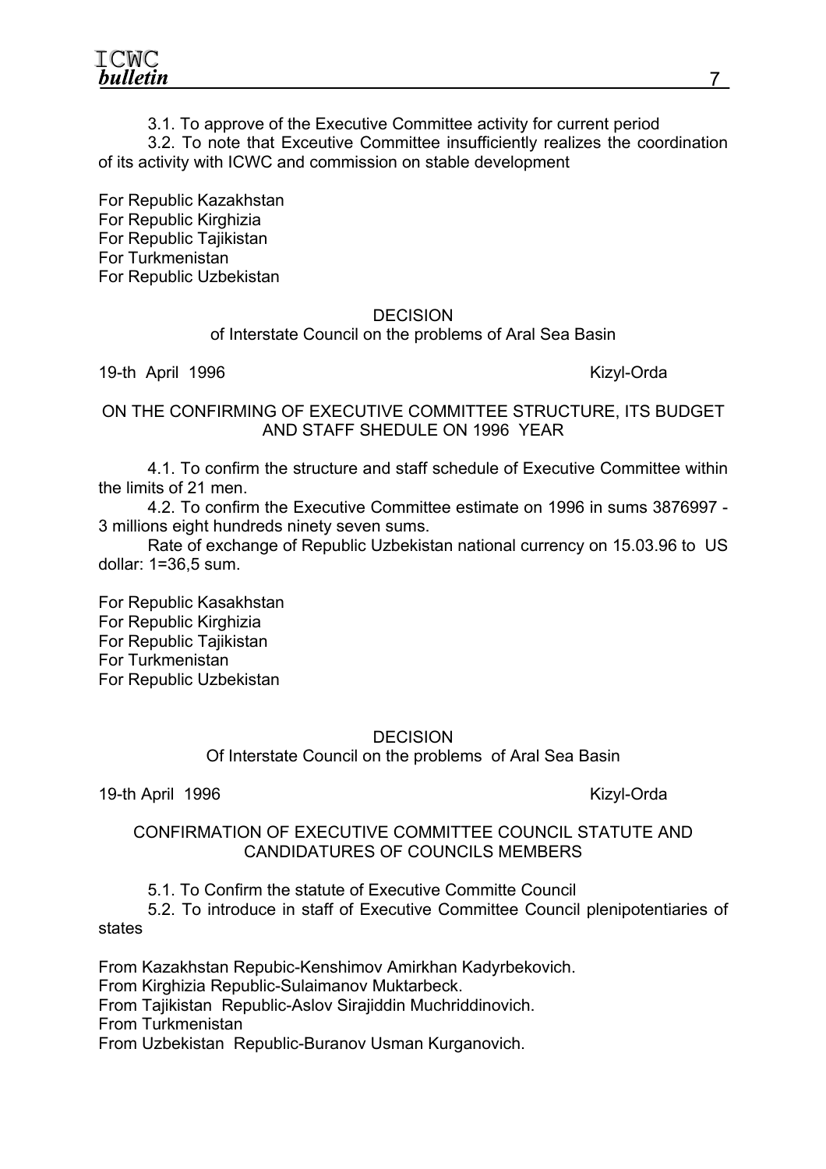ICWC bulletin

3.1. To approve of the Executive Committee activity for current period

3.2. To note that Exceutive Committee insufficiently realizes the coordination of its activity with ICWC and commission on stable development

For Republic Kazakhstan For Republic Kirghizia For Republic Tajikistan For Turkmenistan For Republic Uzbekistan

#### DECISION

### of Interstate Council on the problems of Aral Sea Basin

19-th April 1996 Kizyl-Orda

ON THE CONFIRMING OF EXECUTIVE COMMITTEE STRUCTURE, ITS BUDGET AND STAFF SHEDULE ON 1996 YEAR

4.1. To confirm the structure and staff schedule of Executive Committee within the limits of 21 men.

4.2. To confirm the Executive Committee estimate on 1996 in sums 3876997 - 3 millions eight hundreds ninety seven sums.

Rate of exchange of Republic Uzbekistan national currency on 15.03.96 to US dollar: 1=36,5 sum.

For Republic Kasakhstan For Republic Kirghizia For Republic Tajikistan For Turkmenistan For Republic Uzbekistan

#### **DECISION**

Of Interstate Council on the problems of Aral Sea Basin

19-th April 1996 Kizyl-Orda

#### CONFIRMATION OF EXECUTIVE COMMITTEE COUNCIL STATUTE AND CANDIDATURES OF COUNCILS MEMBERS

5.1. To Confirm the statute of Executive Committe Council

5.2. To introduce in staff of Executive Committee Council plenipotentiaries of states

From Kazakhstan Repubic-Kenshimov Amirkhan Kadyrbekovich. From Kirghizia Republic-Sulaimanov Muktarbeck. From Tajikistan Republic-Aslov Sirajiddin Muchriddinovich. From Turkmenistan From Uzbekistan Republic-Buranov Usman Kurganovich.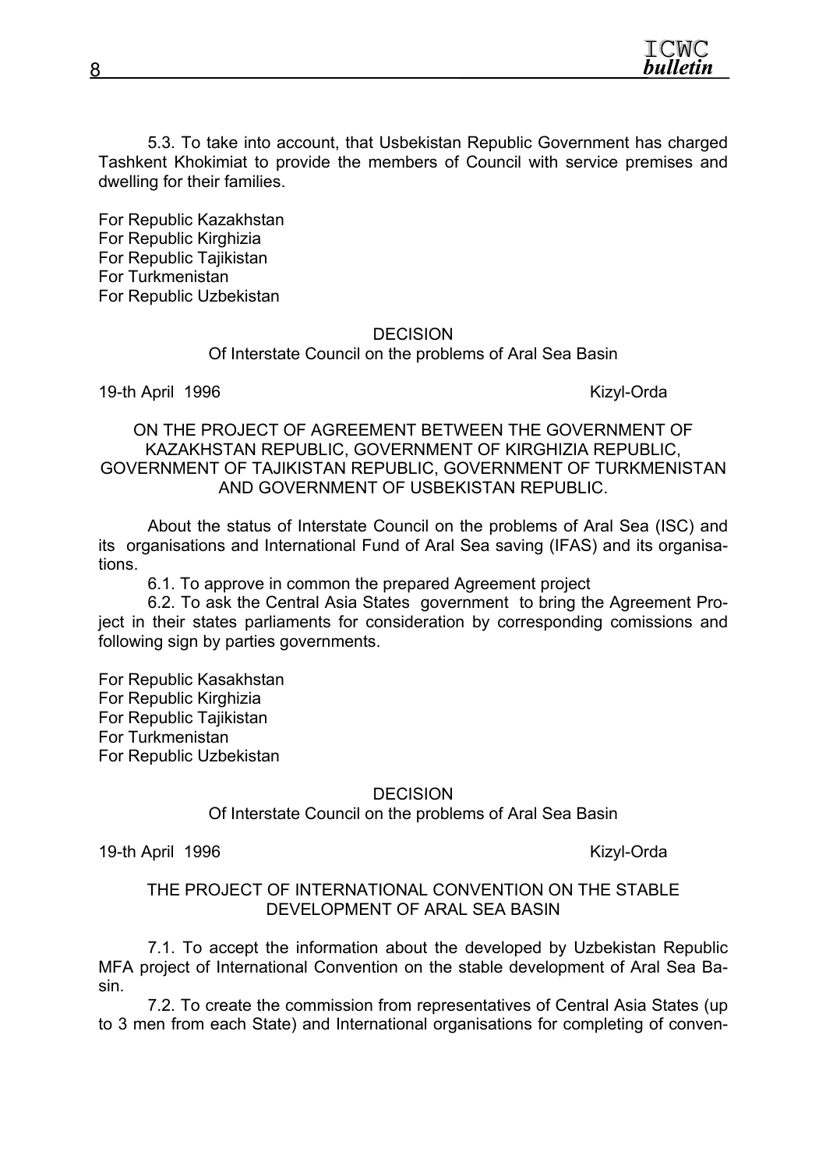

5.3. To take into account, that Usbekistan Republic Government has charged Tashkent Khokimiat to provide the members of Council with service premises and dwelling for their families.

For Republic Kazakhstan For Republic Kirghizia For Republic Tajikistan For Turkmenistan For Republic Uzbekistan

#### **DECISION**

Of Interstate Council on the problems of Aral Sea Basin

19-th April 1996 Kizyl-Orda

ON THE PROJECT OF AGREEMENT BETWEEN THE GOVERNMENT OF KAZAKHSTAN REPUBLIC, GOVERNMENT OF KIRGHIZIA REPUBLIC, GOVERNMENT OF TAJIKISTAN REPUBLIC, GOVERNMENT OF TURKMENISTAN AND GOVERNMENT OF USBEKISTAN REPUBLIC.

About the status of Interstate Council on the problems of Aral Sea (ISC) and its organisations and International Fund of Aral Sea saving (IFAS) and its organisations.

6.1. To approve in common the prepared Agreement project

6.2. To ask the Central Asia States government to bring the Agreement Project in their states parliaments for consideration by corresponding comissions and following sign by parties governments.

For Republic Kasakhstan For Republic Kirghizia For Republic Tajikistan For Turkmenistan For Republic Uzbekistan

**DECISION** 

Of Interstate Council on the problems of Aral Sea Basin

19-th April 1996 Kizyl-Orda

#### THE PROJECT OF INTERNATIONAL CONVENTION ON THE STABLE DEVELOPMENT OF ARAL SEA BASIN

7.1. To accept the information about the developed by Uzbekistan Republic MFA project of International Convention on the stable development of Aral Sea Basin.

7.2. To create the commission from representatives of Central Asia States (up to 3 men from each State) and International organisations for completing of conven-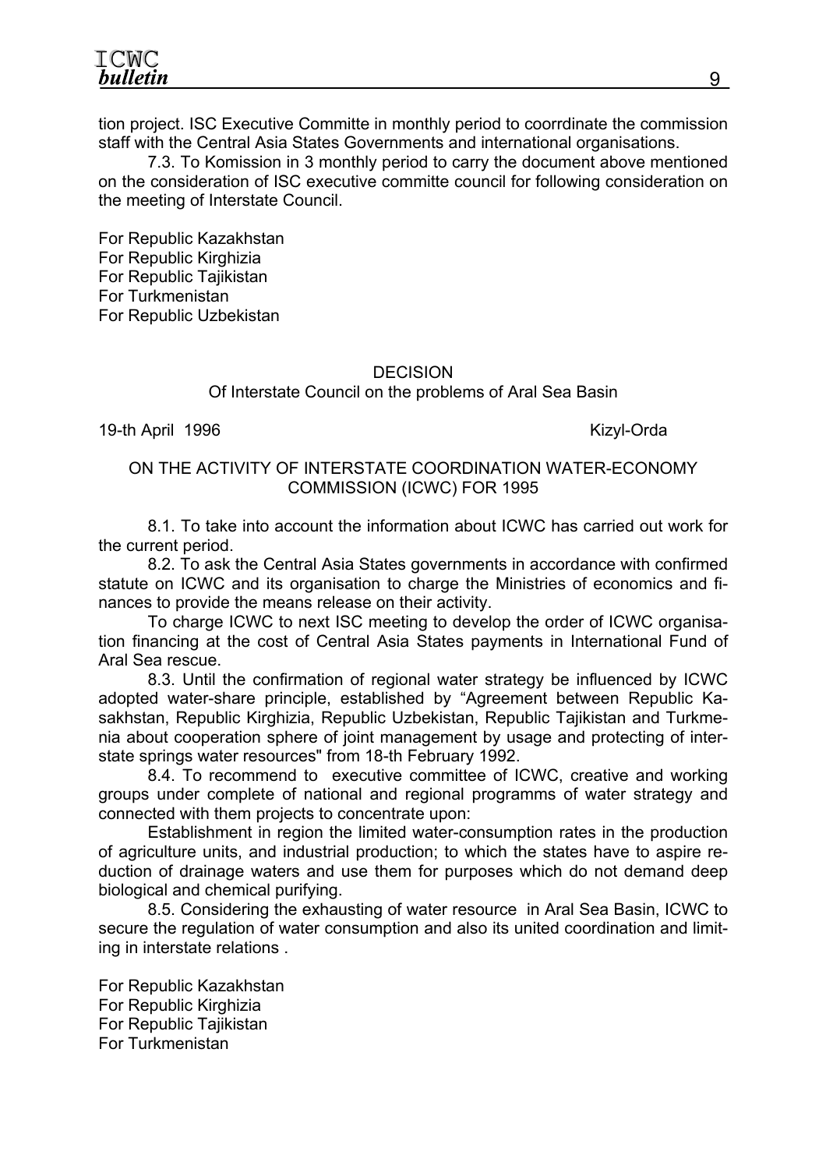ICWC bulletin

tion project. ISC Executive Committe in monthly period to coorrdinate the commission staff with the Central Asia States Governments and international organisations.

7.3. To Komission in 3 monthly period to carry the document above mentioned on the consideration of ISC executive committe council for following consideration on the meeting of Interstate Council.

For Republic Kazakhstan For Republic Kirghizia For Republic Tajikistan For Turkmenistan For Republic Uzbekistan

#### **DECISION**

#### Of Interstate Council on the problems of Aral Sea Basin

19-th April 1996 Kizyl-Orda

#### ON THE ACTIVITY OF INTERSTATE COORDINATION WATER-ECONOMY COMMISSION (ICWC) FOR 1995

8.1. To take into account the information about ICWC has carried out work for the current period.

8.2. To ask the Central Asia States governments in accordance with confirmed statute on ICWC and its organisation to charge the Ministries of economics and finances to provide the means release on their activity.

To charge ICWC to next ISC meeting to develop the order of ICWC organisation financing at the cost of Central Asia States payments in International Fund of Aral Sea rescue.

8.3. Until the confirmation of regional water strategy be influenced by ICWC adopted water-share principle, established by "Agreement between Republic Kasakhstan, Republic Kirghizia, Republic Uzbekistan, Republic Tajikistan and Turkmenia about cooperation sphere of joint management by usage and protecting of interstate springs water resources" from 18-th February 1992.

8.4. To recommend to executive committee of ICWC, creative and working groups under complete of national and regional programms of water strategy and connected with them projects to concentrate upon:

Establishment in region the limited water-consumption rates in the production of agriculture units, and industrial production; to which the states have to aspire reduction of drainage waters and use them for purposes which do not demand deep biological and chemical purifying.

8.5. Considering the exhausting of water resource in Aral Sea Basin, ICWC to secure the regulation of water consumption and also its united coordination and limiting in interstate relations .

For Republic Kazakhstan For Republic Kirghizia For Republic Tajikistan For Turkmenistan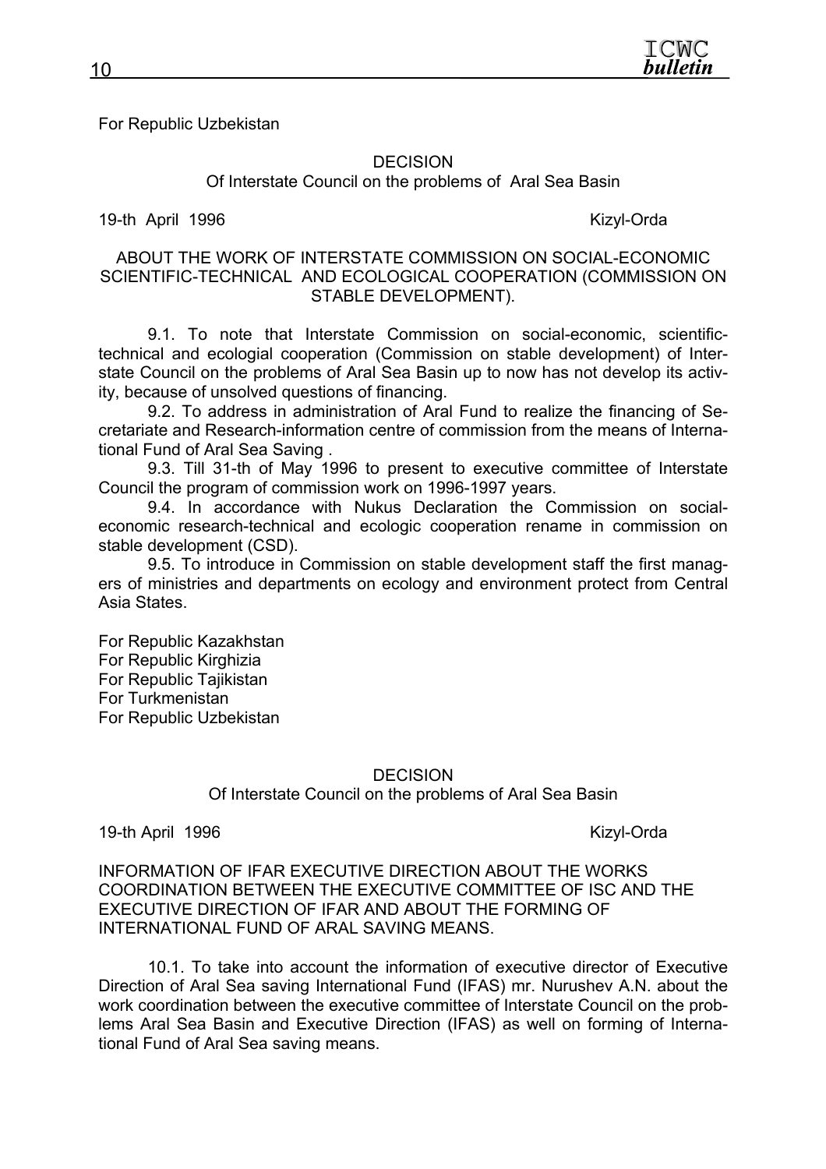For Republic Uzbekistan

#### **DECISION**

Of Interstate Council on the problems of Aral Sea Basin

19-th April 1996 **Kizyl-Orda** 

ABOUT THE WORK OF INTERSTATE COMMISSION ON SOCIAL-ECONOMIC SCIENTIFIC-TECHNICAL AND ECOLOGICAL COOPERATION (COMMISSION ON STABLE DEVELOPMENT).

9.1. To note that Interstate Commission on social-economic, scientifictechnical and ecologial cooperation (Commission on stable development) of Interstate Council on the problems of Aral Sea Basin up to now has not develop its activity, because of unsolved questions of financing.

9.2. To address in administration of Aral Fund to realize the financing of Secretariate and Research-information centre of commission from the means of International Fund of Aral Sea Saving .

9.3. Till 31-th of May 1996 to present to executive committee of Interstate Council the program of commission work on 1996-1997 years.

9.4. In accordance with Nukus Declaration the Commission on socialeconomic research-technical and ecologic cooperation rename in commission on stable development (CSD).

9.5. To introduce in Commission on stable development staff the first managers of ministries and departments on ecology and environment protect from Central Asia States.

For Republic Kazakhstan For Republic Kirghizia For Republic Tajikistan For Turkmenistan For Republic Uzbekistan

#### DECISION

Of Interstate Council on the problems of Aral Sea Basin

19-th April 1996 Kizyl-Orda

INFORMATION OF IFAR EXECUTIVE DIRECTION ABOUT THE WORKS COORDINATION BETWEEN THE EXECUTIVE COMMITTEE OF ISC AND THE EXECUTIVE DIRECTION OF IFAR AND ABOUT THE FORMING OF INTERNATIONAL FUND OF ARAL SAVING MEANS.

10.1. To take into account the information of executive director of Executive Direction of Aral Sea saving International Fund (IFAS) mr. Nurushev A.N. about the work coordination between the executive committee of Interstate Council on the problems Aral Sea Basin and Executive Direction (IFAS) as well on forming of International Fund of Aral Sea saving means.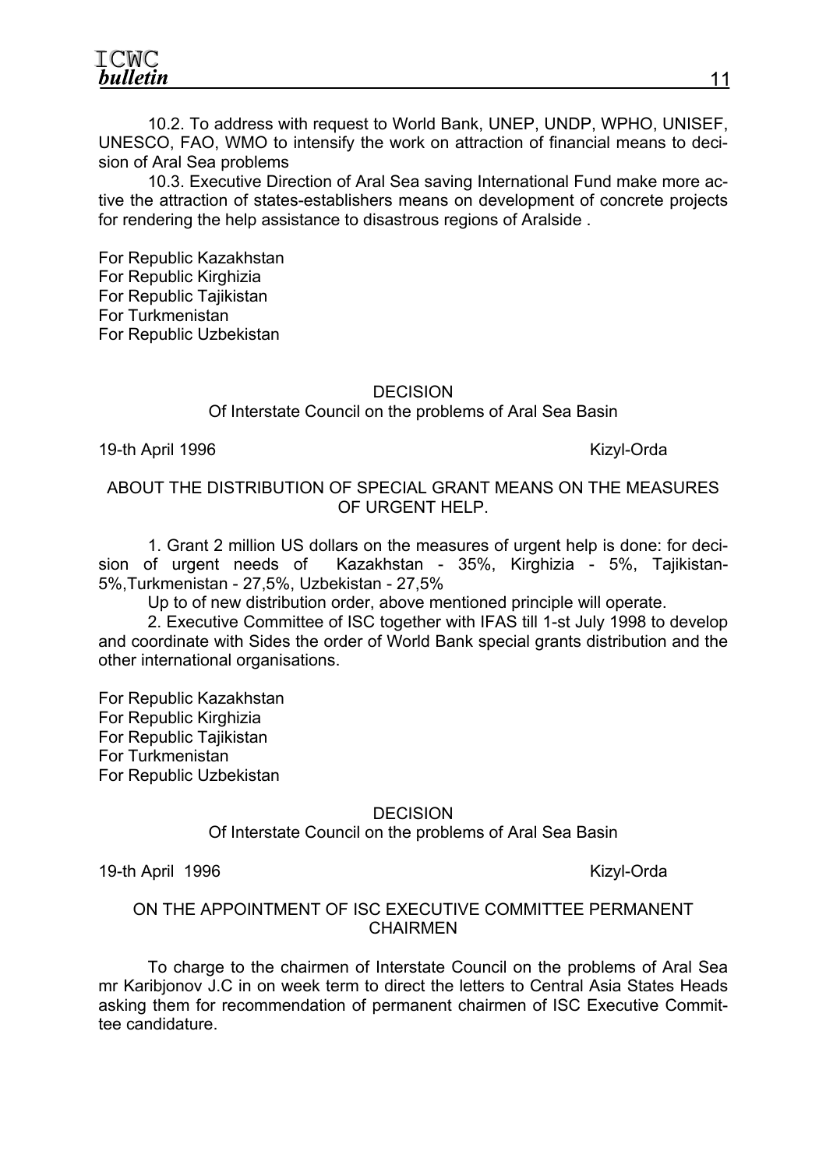ICWC bulletin

10.2. To address with request to World Bank, UNEP, UNDP, WPHO, UNISEF, UNESCO, FAO, WMO to intensify the work on attraction of financial means to decision of Aral Sea problems

10.3. Executive Direction of Aral Sea saving International Fund make more active the attraction of states-establishers means on development of concrete projects for rendering the help assistance to disastrous regions of Aralside .

For Republic Kazakhstan For Republic Kirghizia For Republic Tajikistan For Turkmenistan For Republic Uzbekistan

#### **DECISION**

#### Of Interstate Council on the problems of Aral Sea Basin

#### 19-th April 1996 Kizyl-Orda

#### ABOUT THE DISTRIBUTION OF SPECIAL GRANT MEANS ON THE MEASURES OF URGENT HELP.

1. Grant 2 million US dollars on the measures of urgent help is done: for decision of urgent needs of Kazakhstan - 35%, Kirghizia - 5%, Tajikistan-5%,Turkmenistan - 27,5%, Uzbekistan - 27,5%

Up to of new distribution order, above mentioned principle will operate.

2. Executive Committee of ISC together with IFAS till 1-st July 1998 to develop and coordinate with Sides the order of World Bank special grants distribution and the other international organisations.

For Republic Kazakhstan For Republic Kirghizia For Republic Tajikistan For Turkmenistan For Republic Uzbekistan

#### DECISION

Of Interstate Council on the problems of Aral Sea Basin

19-th April 1996 Kizyl-Orda

#### ON THE APPOINTMENT OF ISC EXECUTIVE COMMITTEE PERMANENT CHAIRMEN

To charge to the chairmen of Interstate Council on the problems of Aral Sea mr Karibjonov J.C in on week term to direct the letters to Central Asia States Heads asking them for recommendation of permanent chairmen of ISC Executive Committee candidature.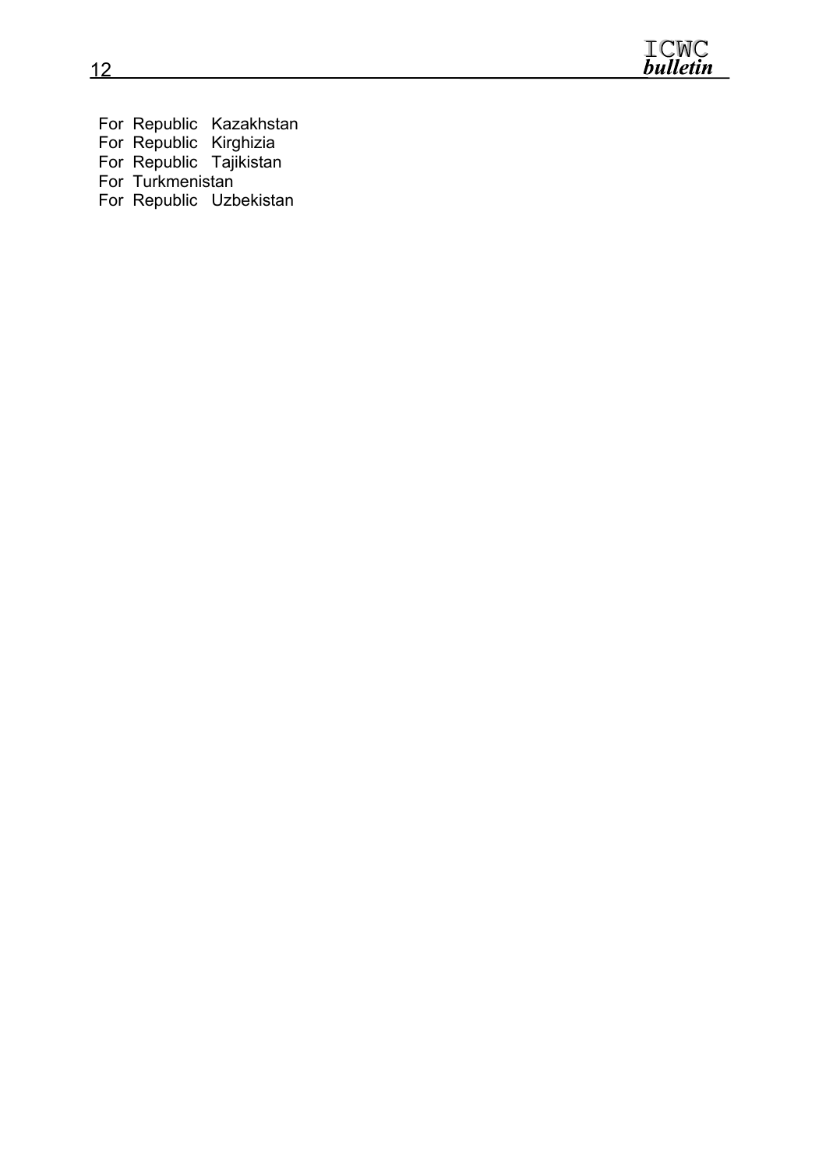

For Republic Kazakhstan For Republic Kirghizia For Republic Tajikistan For Turkmenistan For Republic Uzbekistan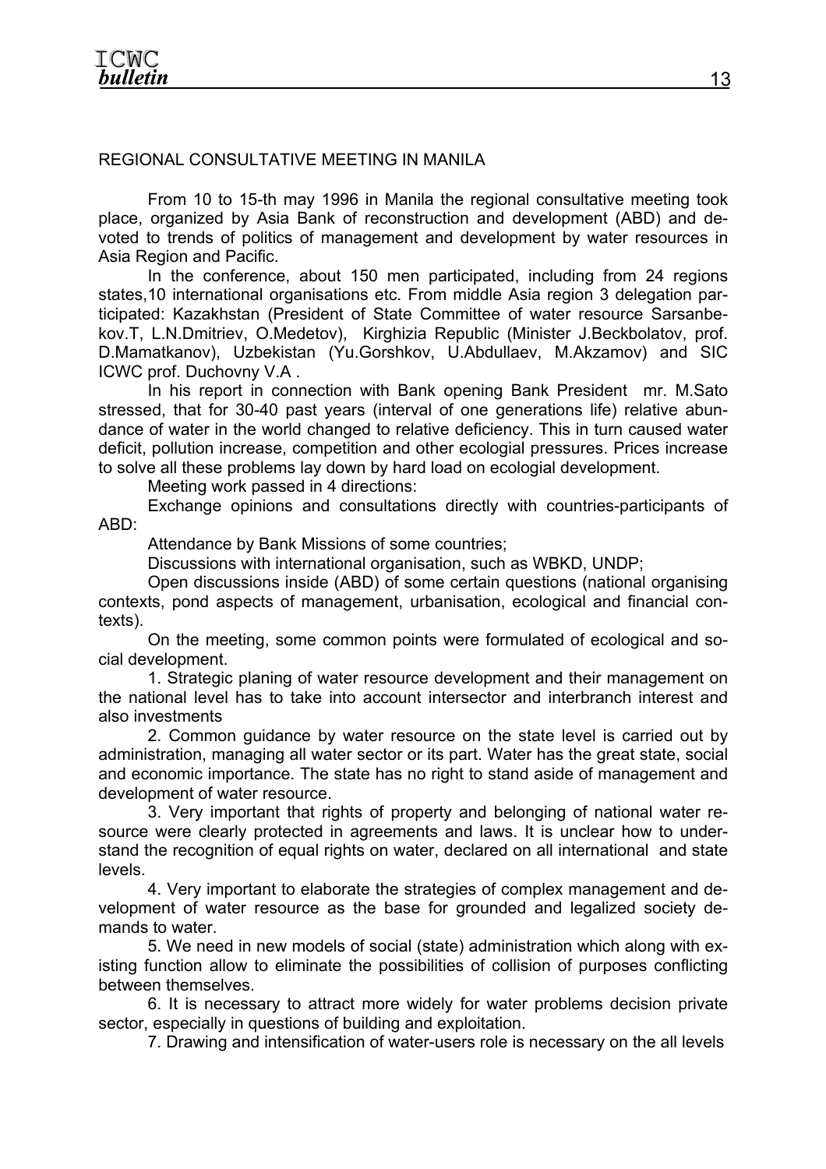## REGIONAL CONSULTATIVE MEETING IN MANILA

From 10 to 15-th may 1996 in Manila the regional consultative meeting took place, organized by Asia Bank of reconstruction and development (ABD) and devoted to trends of politics of management and development by water resources in Asia Region and Pacific.

In the conference, about 150 men participated, including from 24 regions states,10 international organisations etc. From middle Asia region 3 delegation participated: Kazakhstan (President of State Committee of water resource Sarsanbekov.T, L.N.Dmitriev, O.Medetov), Kirghizia Republic (Minister J.Beckbolatov, prof. D.Mamatkanov), Uzbekistan (Yu.Gorshkov, U.Abdullaev, M.Akzamov) and SIC ICWC prof. Duchovny V.A .

In his report in connection with Bank opening Bank President mr. M.Sato stressed, that for 30-40 past years (interval of one generations life) relative abundance of water in the world changed to relative deficiency. This in turn caused water deficit, pollution increase, competition and other ecologial pressures. Prices increase to solve all these problems lay down by hard load on ecologial development.

Meeting work passed in 4 directions:

Exchange opinions and consultations directly with countries-participants of ABD:

Attendance by Bank Missions of some countries;

Discussions with international organisation, such as WBKD, UNDP;

Open discussions inside (ABD) of some certain questions (national organising contexts, pond aspects of management, urbanisation, ecological and financial contexts).

On the meeting, some common points were formulated of ecological and social development.

1. Strategic planing of water resource development and their management on the national level has to take into account intersector and interbranch interest and also investments

2. Common guidance by water resource on the state level is carried out by administration, managing all water sector or its part. Water has the great state, social and economic importance. The state has no right to stand aside of management and development of water resource.

3. Very important that rights of property and belonging of national water resource were clearly protected in agreements and laws. It is unclear how to understand the recognition of equal rights on water, declared on all international and state levels.

4. Very important to elaborate the strategies of complex management and development of water resource as the base for grounded and legalized society demands to water.

5. We need in new models of social (state) administration which along with existing function allow to eliminate the possibilities of collision of purposes conflicting between themselves.

6. It is necessary to attract more widely for water problems decision private sector, especially in questions of building and exploitation.

7. Drawing and intensification of water-users role is necessary on the all levels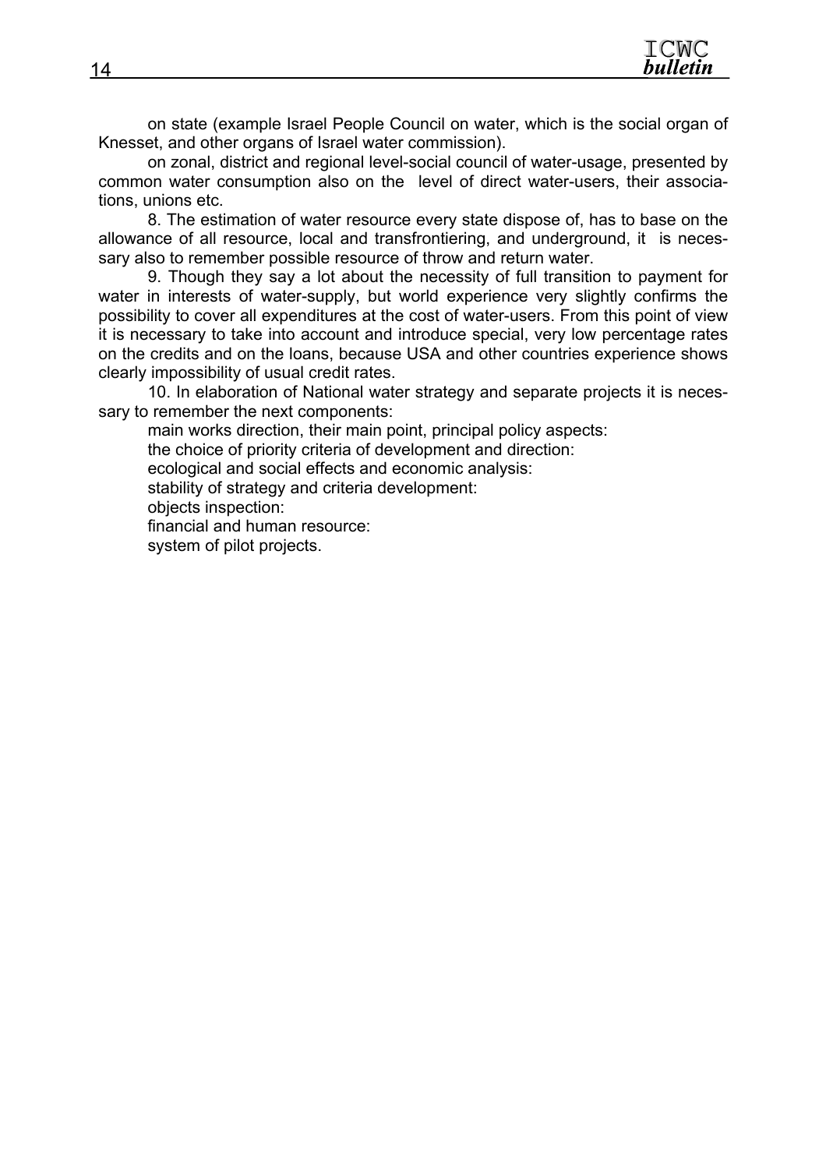on state (example Israel People Council on water, which is the social organ of Knesset, and other organs of Israel water commission).

on zonal, district and regional level-social council of water-usage, presented by common water consumption also on the level of direct water-users, their associations, unions etc.

8. The estimation of water resource every state dispose of, has to base on the allowance of all resource, local and transfrontiering, and underground, it is necessary also to remember possible resource of throw and return water.

9. Though they say a lot about the necessity of full transition to payment for water in interests of water-supply, but world experience very slightly confirms the possibility to cover all expenditures at the cost of water-users. From this point of view it is necessary to take into account and introduce special, very low percentage rates on the credits and on the loans, because USA and other countries experience shows clearly impossibility of usual credit rates.

10. In elaboration of National water strategy and separate projects it is necessary to remember the next components:

main works direction, their main point, principal policy aspects: the choice of priority criteria of development and direction: ecological and social effects and economic analysis: stability of strategy and criteria development: objects inspection: financial and human resource: system of pilot projects.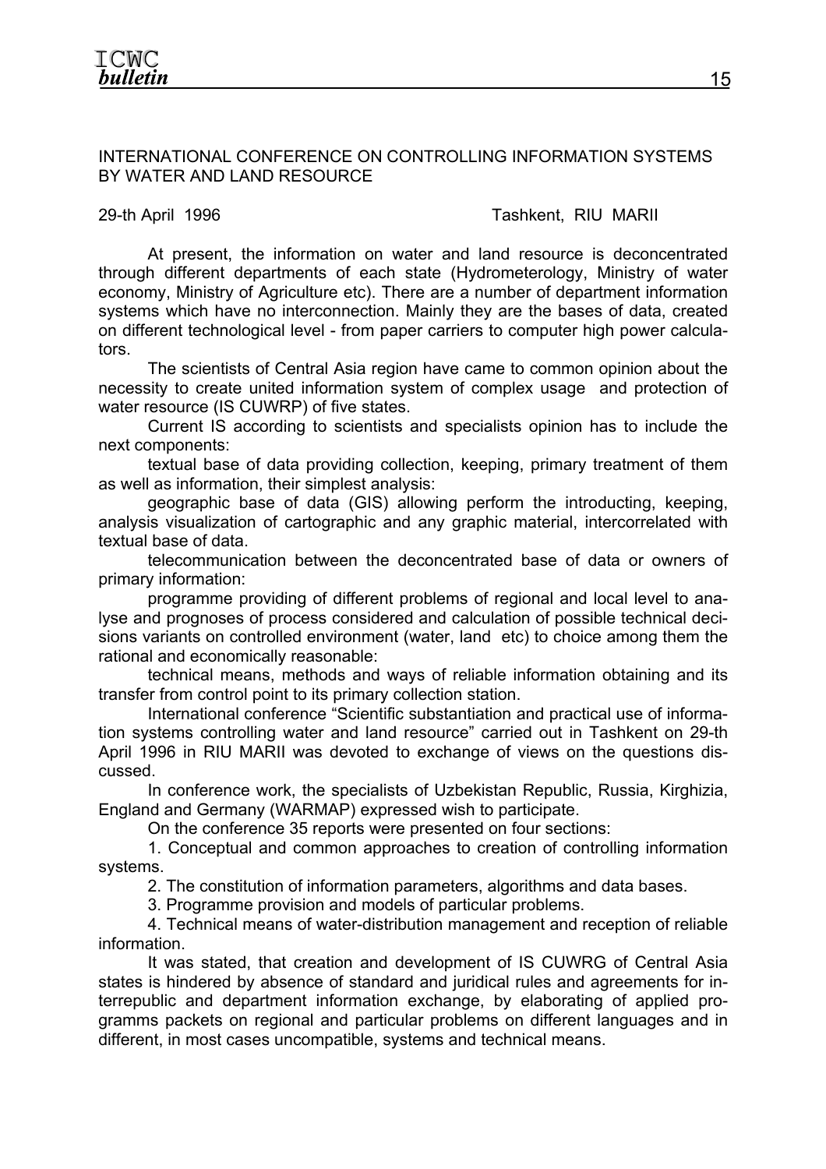#### INTERNATIONAL CONFERENCE ON CONTROLLING INFORMATION SYSTEMS BY WATER AND LAND RESOURCE

#### 29-th April 1996 **Tashkent, RIU MARII**

At present, the information on water and land resource is deconcentrated through different departments of each state (Hydrometerology, Ministry of water economy, Ministry of Agriculture etc). There are a number of department information systems which have no interconnection. Mainly they are the bases of data, created on different technological level - from paper carriers to computer high power calculators.

The scientists of Central Asia region have came to common opinion about the necessity to create united information system of complex usage and protection of water resource (IS CUWRP) of five states.

Current IS according to scientists and specialists opinion has to include the next components:

textual base of data providing collection, keeping, primary treatment of them as well as information, their simplest analysis:

geographic base of data (GIS) allowing perform the introducting, keeping, analysis visualization of cartographic and any graphic material, intercorrelated with textual base of data.

telecommunication between the deconcentrated base of data or owners of primary information:

programme providing of different problems of regional and local level to analyse and prognoses of process considered and calculation of possible technical decisions variants on controlled environment (water, land etc) to choice among them the rational and economically reasonable:

technical means, methods and ways of reliable information obtaining and its transfer from control point to its primary collection station.

International conference "Scientific substantiation and practical use of information systems controlling water and land resource" carried out in Tashkent on 29-th April 1996 in RIU MARII was devoted to exchange of views on the questions discussed.

In conference work, the specialists of Uzbekistan Republic, Russia, Kirghizia, England and Germany (WARMAP) expressed wish to participate.

On the conference 35 reports were presented on four sections:

1. Conceptual and common approaches to creation of controlling information systems.

2. The constitution of information parameters, algorithms and data bases.

3. Programme provision and models of particular problems.

4. Technical means of water-distribution management and reception of reliable information.

It was stated, that creation and development of IS CUWRG of Central Asia states is hindered by absence of standard and juridical rules and agreements for interrepublic and department information exchange, by elaborating of applied programms packets on regional and particular problems on different languages and in different, in most cases uncompatible, systems and technical means.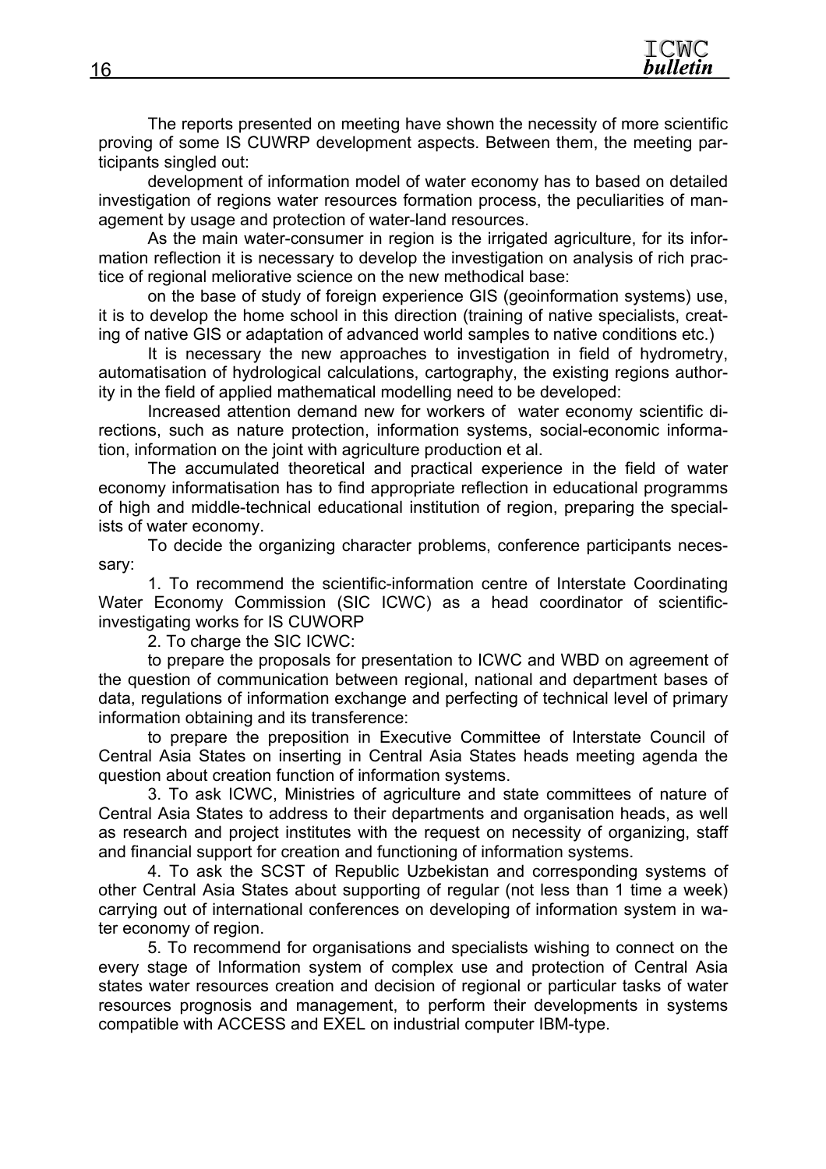

The reports presented on meeting have shown the necessity of more scientific proving of some IS CUWRP development aspects. Between them, the meeting participants singled out:

development of information model of water economy has to based on detailed investigation of regions water resources formation process, the peculiarities of management by usage and protection of water-land resources.

As the main water-consumer in region is the irrigated agriculture, for its information reflection it is necessary to develop the investigation on analysis of rich practice of regional meliorative science on the new methodical base:

on the base of study of foreign experience GIS (geoinformation systems) use, it is to develop the home school in this direction (training of native specialists, creating of native GIS or adaptation of advanced world samples to native conditions etc.)

It is necessary the new approaches to investigation in field of hydrometry, automatisation of hydrological calculations, cartography, the existing regions authority in the field of applied mathematical modelling need to be developed:

Increased attention demand new for workers of water economy scientific directions, such as nature protection, information systems, social-economic information, information on the joint with agriculture production et al.

The accumulated theoretical and practical experience in the field of water economy informatisation has to find appropriate reflection in educational programms of high and middle-technical educational institution of region, preparing the specialists of water economy.

To decide the organizing character problems, conference participants necessary:

1. To recommend the scientific-information centre of Interstate Coordinating Water Economy Commission (SIC ICWC) as a head coordinator of scientificinvestigating works for IS CUWORP

2. To charge the SIC ICWC:

to prepare the proposals for presentation to ICWC and WBD on agreement of the question of communication between regional, national and department bases of data, regulations of information exchange and perfecting of technical level of primary information obtaining and its transference:

to prepare the preposition in Executive Committee of Interstate Council of Central Asia States on inserting in Central Asia States heads meeting agenda the question about creation function of information systems.

3. To ask ICWC, Ministries of agriculture and state committees of nature of Central Asia States to address to their departments and organisation heads, as well as research and project institutes with the request on necessity of organizing, staff and financial support for creation and functioning of information systems.

4. To ask the SCST of Republic Uzbekistan and corresponding systems of other Central Asia States about supporting of regular (not less than 1 time a week) carrying out of international conferences on developing of information system in water economy of region.

5. To recommend for organisations and specialists wishing to connect on the every stage of Information system of complex use and protection of Central Asia states water resources creation and decision of regional or particular tasks of water resources prognosis and management, to perform their developments in systems compatible with ACCESS and EXEL on industrial computer IBM-type.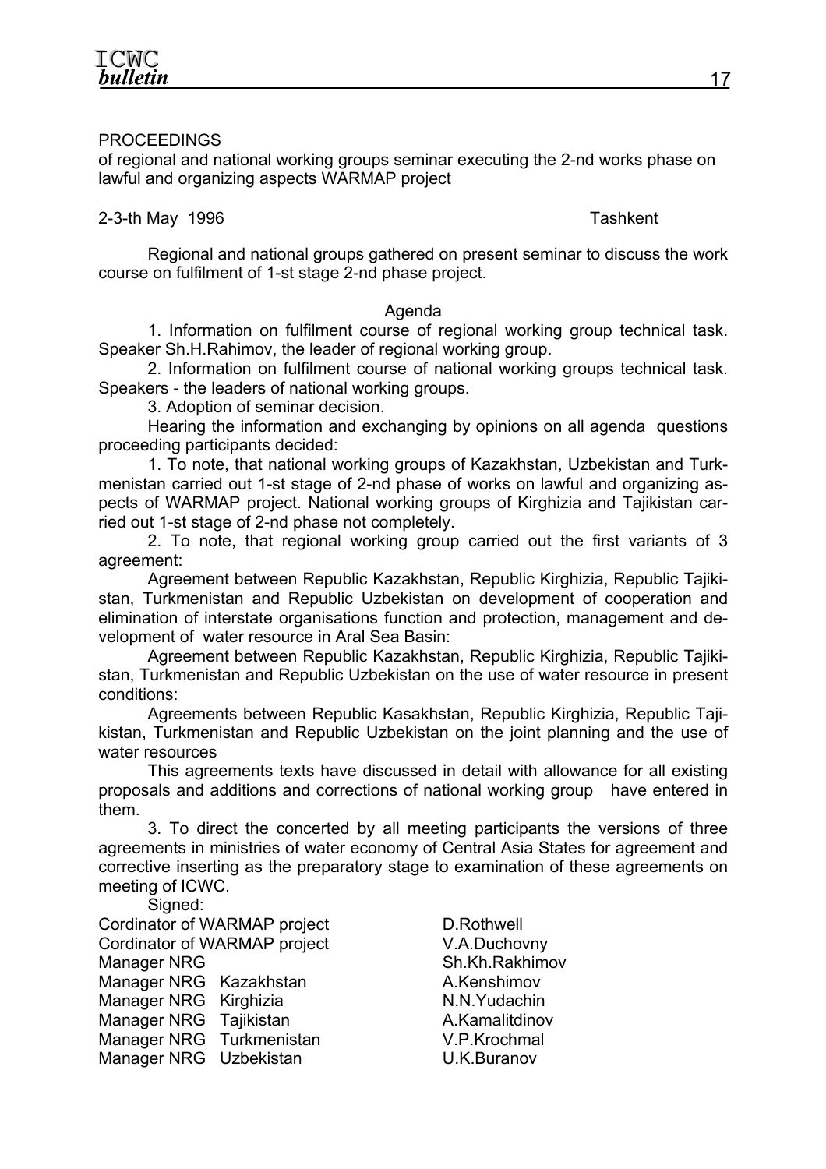### PROCEEDINGS

of regional and national working groups seminar executing the 2-nd works phase on lawful and organizing aspects WARMAP project

#### 2-3-th May 1996 **Tashkent**

Regional and national groups gathered on present seminar to discuss the work course on fulfilment of 1-st stage 2-nd phase project.

#### Agenda

1. Information on fulfilment course of regional working group technical task. Speaker Sh.H.Rahimov, the leader of regional working group.

2. Information on fulfilment course of national working groups technical task. Speakers - the leaders of national working groups.

3. Adoption of seminar decision.

Hearing the information and exchanging by opinions on all agenda questions proceeding participants decided:

1. To note, that national working groups of Kazakhstan, Uzbekistan and Turkmenistan carried out 1-st stage of 2-nd phase of works on lawful and organizing aspects of WARMAP project. National working groups of Kirghizia and Tajikistan carried out 1-st stage of 2-nd phase not completely.

2. To note, that regional working group carried out the first variants of 3 agreement:

Agreement between Republic Kazakhstan, Republic Kirghizia, Republic Tajikistan, Turkmenistan and Republic Uzbekistan on development of cooperation and elimination of interstate organisations function and protection, management and development of water resource in Aral Sea Basin:

Agreement between Republic Kazakhstan, Republic Kirghizia, Republic Tajikistan, Turkmenistan and Republic Uzbekistan on the use of water resource in present conditions:

Agreements between Republic Kasakhstan, Republic Kirghizia, Republic Tajikistan, Turkmenistan and Republic Uzbekistan on the joint planning and the use of water resources

This agreements texts have discussed in detail with allowance for all existing proposals and additions and corrections of national working group have entered in them.

3. To direct the concerted by all meeting participants the versions of three agreements in ministries of water economy of Central Asia States for agreement and corrective inserting as the preparatory stage to examination of these agreements on meeting of ICWC.

Signed:

Cordinator of WARMAP project D.Rothwell Cordinator of WARMAP project V.A.Duchovny Manager NRG Sh.Kh.Rakhimov Manager NRG Kazakhstan Manager NRG Kazakhstan Manager NRG Kirghizia N.N.Yudachin Manager NRG Tajikistan Manager NRG Tajikistan Manager NRG Turkmenistan V.P.Krochmal Manager NRG Uzbekistan U.K.Buranov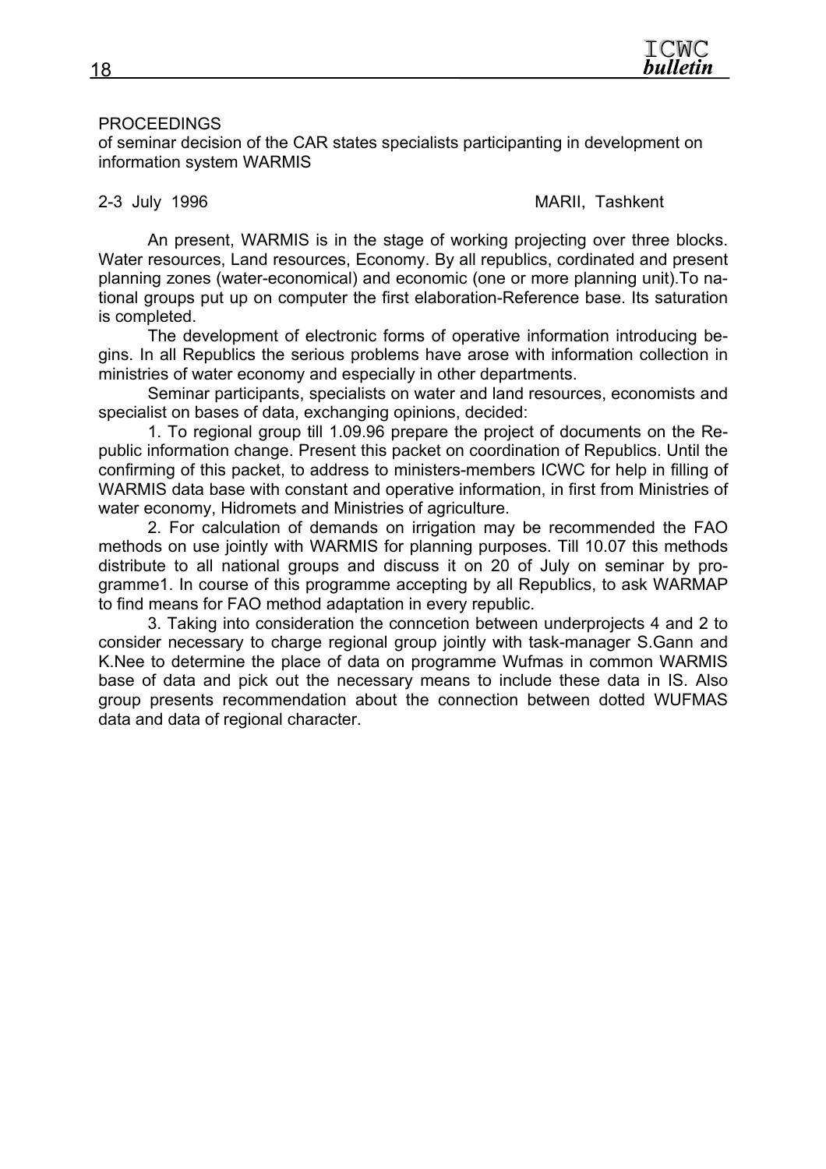

#### PROCEEDINGS

of seminar decision of the CAR states specialists participanting in development on information system WARMIS

#### 2-3 July 1996 MARII, Tashkent

An present, WARMIS is in the stage of working projecting over three blocks. Water resources, Land resources, Economy. By all republics, cordinated and present planning zones (water-economical) and economic (one or more planning unit).To national groups put up on computer the first elaboration-Reference base. Its saturation is completed.

The development of electronic forms of operative information introducing begins. In all Republics the serious problems have arose with information collection in ministries of water economy and especially in other departments.

Seminar participants, specialists on water and land resources, economists and specialist on bases of data, exchanging opinions, decided:

1. To regional group till 1.09.96 prepare the project of documents on the Republic information change. Present this packet on coordination of Republics. Until the confirming of this packet, to address to ministers-members ICWC for help in filling of WARMIS data base with constant and operative information, in first from Ministries of water economy, Hidromets and Ministries of agriculture.

2. For calculation of demands on irrigation may be recommended the FAO methods on use jointly with WARMIS for planning purposes. Till 10.07 this methods distribute to all national groups and discuss it on 20 of July on seminar by programme1. In course of this programme accepting by all Republics, to ask WARMAP to find means for FAO method adaptation in every republic.

3. Taking into consideration the conncetion between underprojects 4 and 2 to consider necessary to charge regional group jointly with task-manager S.Gann and K.Nee to determine the place of data on programme Wufmas in common WARMIS base of data and pick out the necessary means to include these data in IS. Also group presents recommendation about the connection between dotted WUFMAS data and data of regional character.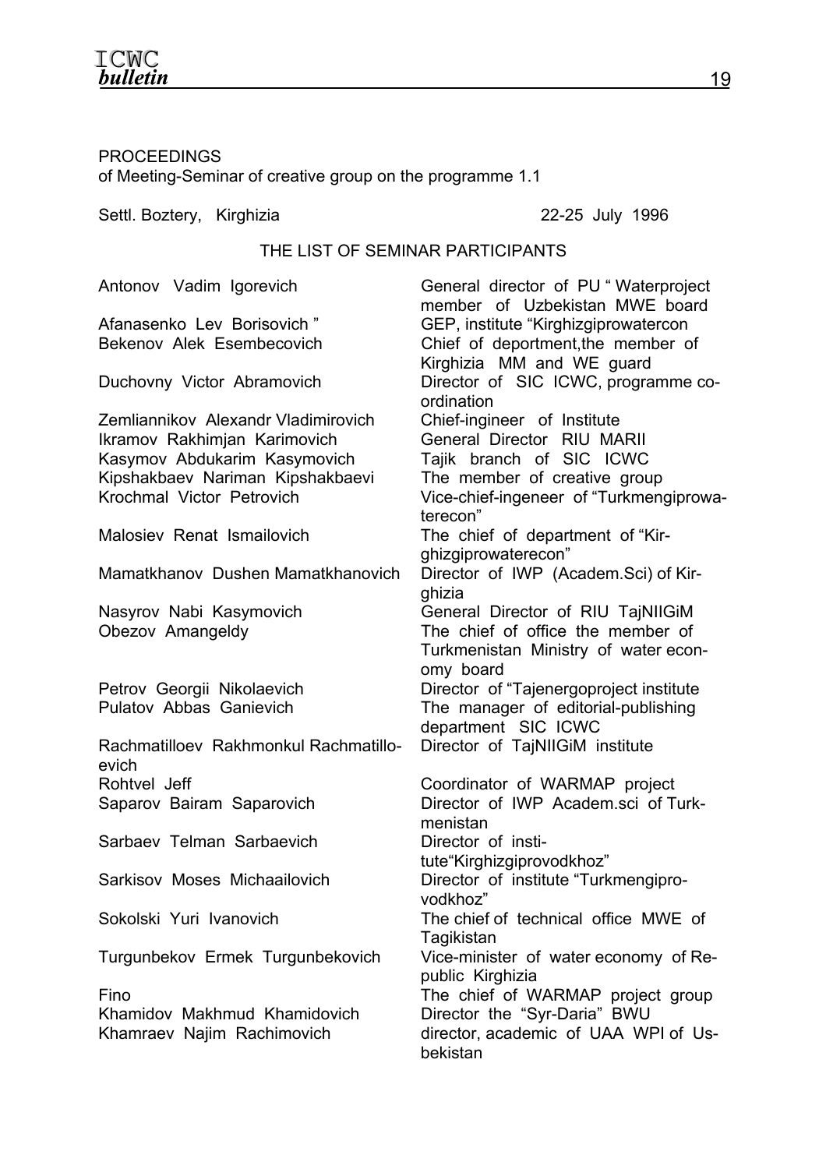# **ICWC**<br>**bulletin**

# PROCEEDINGS of Meeting-Seminar of creative group on the programme 1.1

Settl. Boztery, Kirghizia 22-25 July 1996

## THE LIST OF SEMINAR PARTICIPANTS

| Antonov Vadim Igorevich               | General director of PU "Waterproject<br>member of Uzbekistan MWE board |
|---------------------------------------|------------------------------------------------------------------------|
| Afanasenko Lev Borisovich"            | GEP, institute "Kirghizgiprowatercon                                   |
| Bekenov Alek Esembecovich             | Chief of deportment, the member of                                     |
|                                       | Kirghizia MM and WE guard                                              |
| Duchovny Victor Abramovich            | Director of SIC ICWC, programme co-                                    |
|                                       | ordination                                                             |
| Zemliannikov Alexandr Vladimirovich   | Chief-ingineer of Institute                                            |
| Ikramov Rakhimjan Karimovich          | General Director RIU MARII                                             |
| Kasymov Abdukarim Kasymovich          | Tajik branch of SIC ICWC                                               |
| Kipshakbaev Nariman Kipshakbaevi      | The member of creative group                                           |
| Krochmal Victor Petrovich             | Vice-chief-ingeneer of "Turkmengiprowa-                                |
|                                       | terecon"                                                               |
| Malosiev Renat Ismailovich            | The chief of department of "Kir-                                       |
|                                       | ghizgiprowaterecon"                                                    |
| Mamatkhanov Dushen Mamatkhanovich     | Director of IWP (Academ.Sci) of Kir-                                   |
|                                       | ghizia                                                                 |
| Nasyrov Nabi Kasymovich               | General Director of RIU TajNIIGiM                                      |
| Obezov Amangeldy                      | The chief of office the member of                                      |
|                                       | Turkmenistan Ministry of water econ-                                   |
|                                       | omy board                                                              |
| Petrov Georgii Nikolaevich            | Director of "Tajenergoproject institute                                |
| <b>Pulatov Abbas Ganievich</b>        | The manager of editorial-publishing                                    |
|                                       | department SIC ICWC                                                    |
| Rachmatilloev Rakhmonkul Rachmatillo- | Director of TajNIIGiM institute                                        |
| evich                                 |                                                                        |
| Rohtvel Jeff                          | Coordinator of WARMAP project                                          |
| Saparov Bairam Saparovich             | Director of IWP Academ.sci of Turk-                                    |
|                                       | menistan                                                               |
| Sarbaev Telman Sarbaevich             | Director of insti-                                                     |
|                                       | tute"Kirghizgiprovodkhoz"                                              |
| Sarkisov Moses Michaailovich          | Director of institute "Turkmengipro-                                   |
|                                       | vodkhoz"                                                               |
| Sokolski Yuri Ivanovich               | The chief of technical office MWE of                                   |
|                                       | Tagikistan                                                             |
| Turgunbekov Ermek Turgunbekovich      | Vice-minister of water economy of Re-                                  |
|                                       | public Kirghizia                                                       |
| Fino                                  | The chief of WARMAP project group                                      |
| Khamidov Makhmud Khamidovich          | Director the "Syr-Daria" BWU                                           |
| Khamraev Najim Rachimovich            | director, academic of UAA WPI of Us-                                   |
|                                       | bekistan                                                               |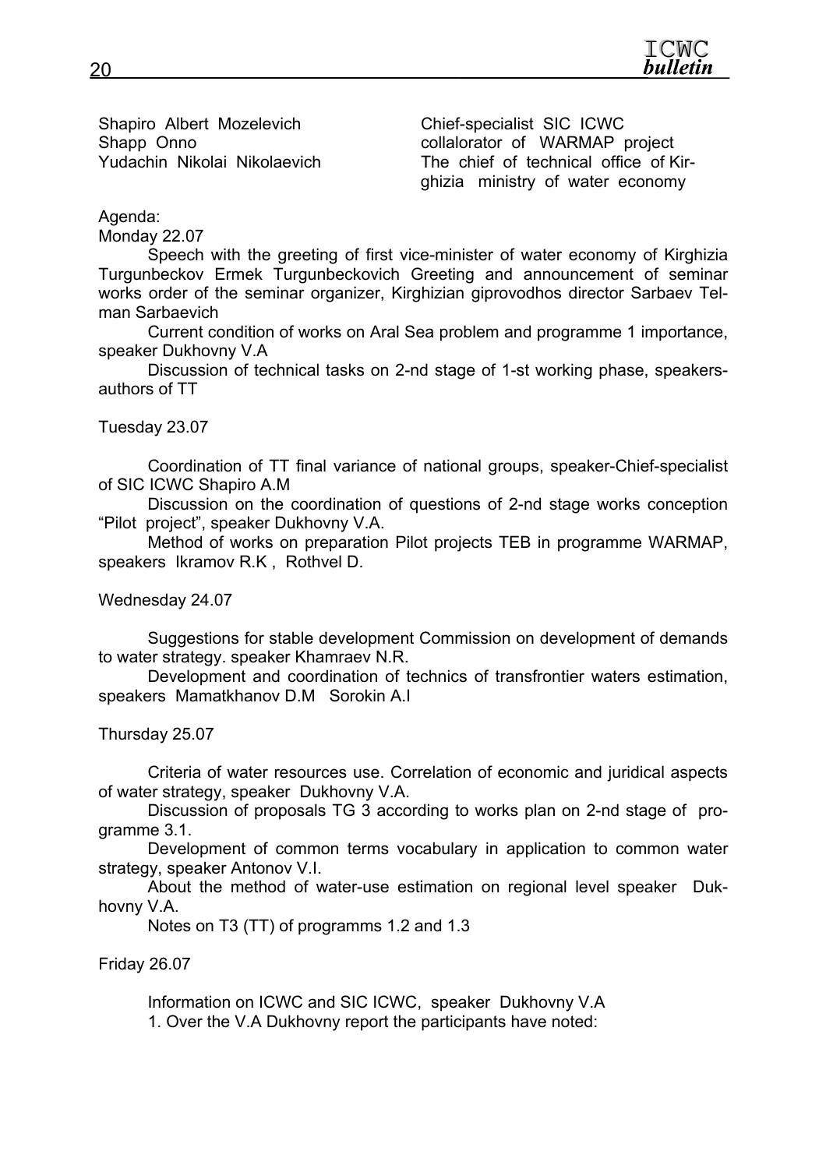Shapiro Albert Mozelevich Chief-specialist SIC ICWC

Shapp Onno **collalorator of WARMAP** project Yudachin Nikolai Nikolaevich The chief of technical office of Kirghizia ministry of water economy

Agenda:

Monday 22.07

Speech with the greeting of first vice-minister of water economy of Kirghizia Turgunbeckov Ermek Turgunbeckovich Greeting and announcement of seminar works order of the seminar organizer, Kirghizian giprovodhos director Sarbaev Telman Sarbaevich

Current condition of works on Aral Sea problem and programme 1 importance, speaker Dukhovny V.A

Discussion of technical tasks on 2-nd stage of 1-st working phase, speakersauthors of TT

Tuesday 23.07

Coordination of TT final variance of national groups, speaker-Chief-specialist of SIC ICWC Shapiro A.M

Discussion on the coordination of questions of 2-nd stage works conception "Pilot project", speaker Dukhovny V.A.

Method of works on preparation Pilot projects TEB in programme WARMAP, speakers Ikramov R.K , Rothvel D.

Wednesday 24.07

Suggestions for stable development Commission on development of demands to water strategy. speaker Khamraev N.R.

Development and coordination of technics of transfrontier waters estimation, speakers Mamatkhanov D.M Sorokin A.I

Thursday 25.07

Criteria of water resources use. Correlation of economic and juridical aspects of water strategy, speaker Dukhovny V.A.

Discussion of proposals TG 3 according to works plan on 2-nd stage of programme 3.1.

Development of common terms vocabulary in application to common water strategy, speaker Antonov V.I.

About the method of water-use estimation on regional level speaker Dukhovny V.A.

Notes on T3 (TT) of programms 1.2 and 1.3

Friday 26.07

Information on ICWC and SIC ICWC, speaker Dukhovny V.A 1. Over the V.A Dukhovny report the participants have noted: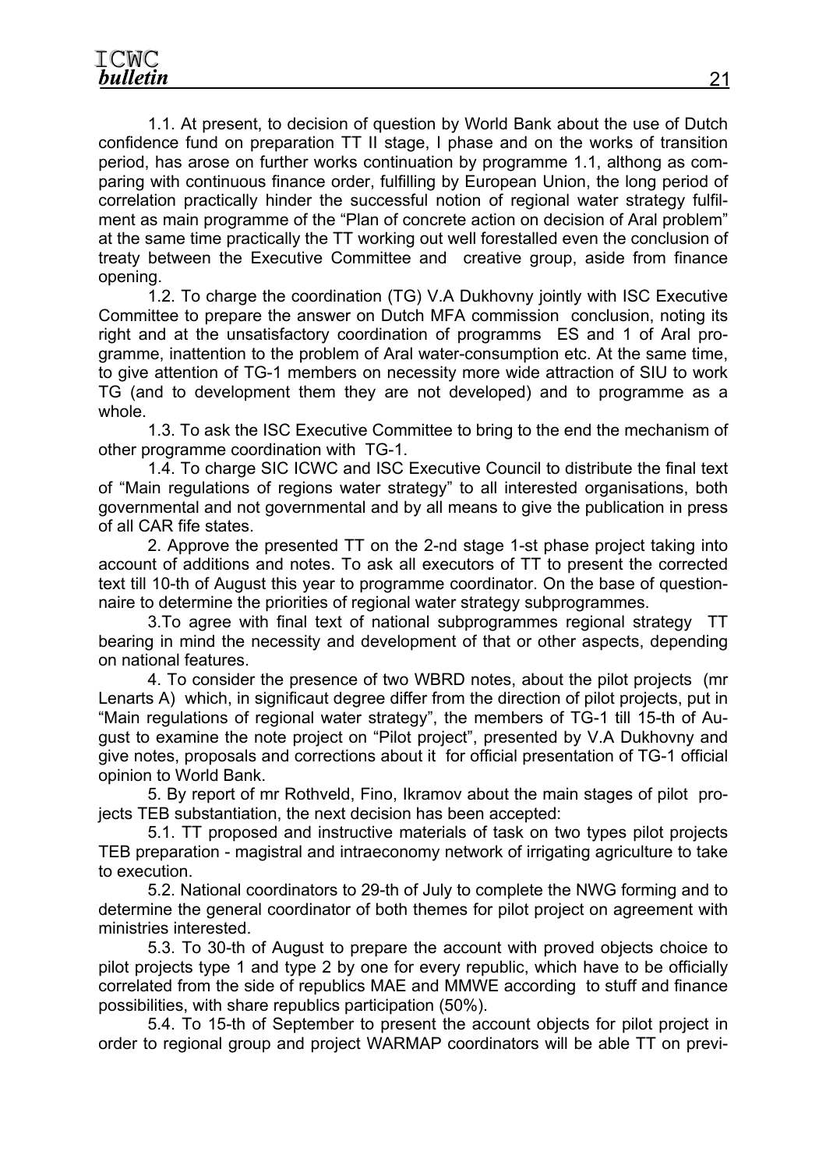1.1. At present, to decision of question by World Bank about the use of Dutch confidence fund on preparation TT II stage, I phase and on the works of transition period, has arose on further works continuation by programme 1.1, althong as comparing with continuous finance order, fulfilling by European Union, the long period of correlation practically hinder the successful notion of regional water strategy fulfilment as main programme of the "Plan of concrete action on decision of Aral problem" at the same time practically the TT working out well forestalled even the conclusion of treaty between the Executive Committee and creative group, aside from finance opening.

1.2. To charge the coordination (TG) V.A Dukhovny jointly with ISC Executive Committee to prepare the answer on Dutch MFA commission conclusion, noting its right and at the unsatisfactory coordination of programms ES and 1 of Aral programme, inattention to the problem of Aral water-consumption etc. At the same time, to give attention of TG-1 members on necessity more wide attraction of SIU to work TG (and to development them they are not developed) and to programme as a whole.

1.3. To ask the ISC Executive Committee to bring to the end the mechanism of other programme coordination with TG-1.

1.4. To charge SIC ICWC and ISC Executive Council to distribute the final text of "Main regulations of regions water strategy" to all interested organisations, both governmental and not governmental and by all means to give the publication in press of all CAR fife states.

2. Approve the presented TT on the 2-nd stage 1-st phase project taking into account of additions and notes. To ask all executors of TT to present the corrected text till 10-th of August this year to programme coordinator. On the base of questionnaire to determine the priorities of regional water strategy subprogrammes.

3.To agree with final text of national subprogrammes regional strategy TT bearing in mind the necessity and development of that or other aspects, depending on national features.

4. To consider the presence of two WBRD notes, about the pilot projects (mr Lenarts A) which, in significaut degree differ from the direction of pilot projects, put in "Main regulations of regional water strategy", the members of TG-1 till 15-th of August to examine the note project on "Pilot project", presented by V.A Dukhovny and give notes, proposals and corrections about it for official presentation of TG-1 official opinion to World Bank.

5. By report of mr Rothveld, Fino, Ikramov about the main stages of pilot projects TEB substantiation, the next decision has been accepted:

5.1. TT proposed and instructive materials of task on two types pilot projects TEB preparation - magistral and intraeconomy network of irrigating agriculture to take to execution.

5.2. National coordinators to 29-th of July to complete the NWG forming and to determine the general coordinator of both themes for pilot project on agreement with ministries interested.

5.3. To 30-th of August to prepare the account with proved objects choice to pilot projects type 1 and type 2 by one for every republic, which have to be officially correlated from the side of republics MAE and MMWE according to stuff and finance possibilities, with share republics participation (50%).

5.4. To 15-th of September to present the account objects for pilot project in order to regional group and project WARMAP coordinators will be able TT on previ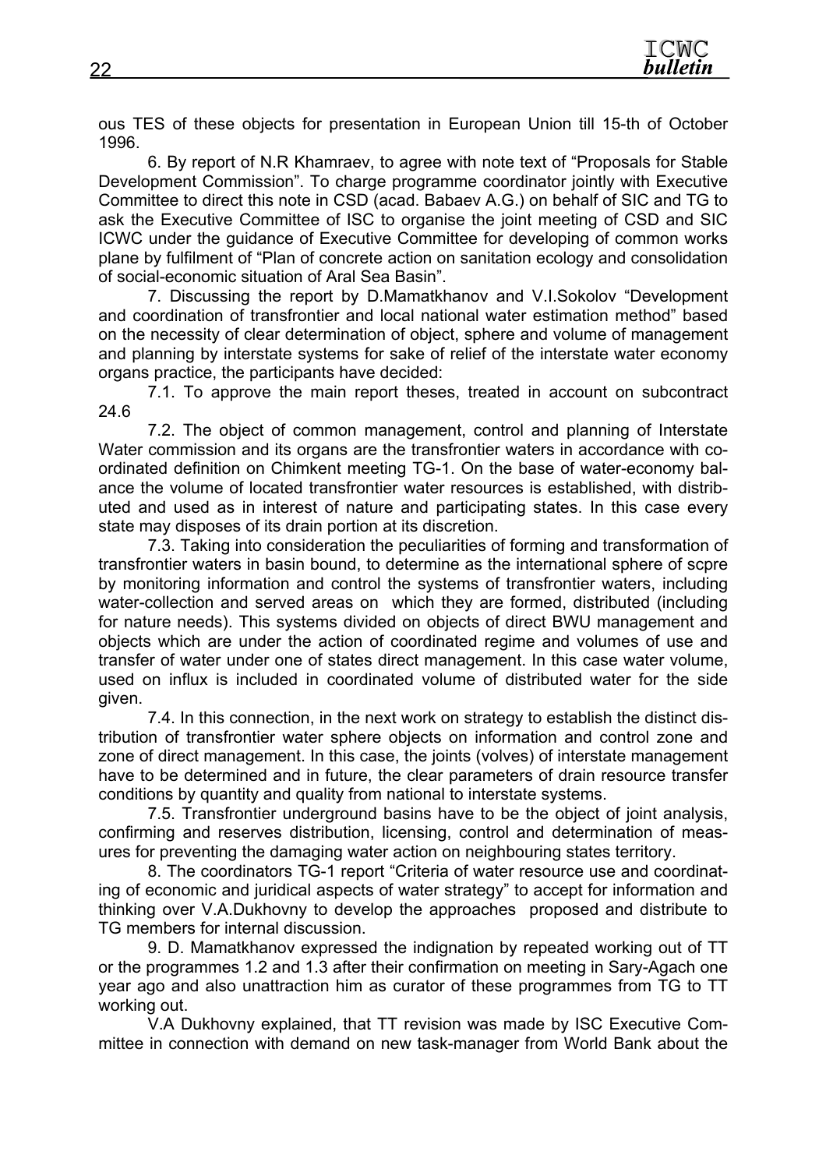ous TES of these objects for presentation in European Union till 15-th of October 1996.

6. By report of N.R Khamraev, to agree with note text of "Proposals for Stable Development Commission". To charge programme coordinator jointly with Executive Committee to direct this note in CSD (acad. Babaev A.G.) on behalf of SIC and TG to ask the Executive Committee of ISC to organise the joint meeting of CSD and SIC ICWC under the guidance of Executive Committee for developing of common works plane by fulfilment of "Plan of concrete action on sanitation ecology and consolidation of social-economic situation of Aral Sea Basin".

7. Discussing the report by D.Mamatkhanov and V.I.Sokolov "Development and coordination of transfrontier and local national water estimation method" based on the necessity of clear determination of object, sphere and volume of management and planning by interstate systems for sake of relief of the interstate water economy organs practice, the participants have decided:

7.1. To approve the main report theses, treated in account on subcontract 24.6

7.2. The object of common management, control and planning of Interstate Water commission and its organs are the transfrontier waters in accordance with coordinated definition on Chimkent meeting TG-1. On the base of water-economy balance the volume of located transfrontier water resources is established, with distributed and used as in interest of nature and participating states. In this case every state may disposes of its drain portion at its discretion.

7.3. Taking into consideration the peculiarities of forming and transformation of transfrontier waters in basin bound, to determine as the international sphere of scpre by monitoring information and control the systems of transfrontier waters, including water-collection and served areas on which they are formed, distributed (including for nature needs). This systems divided on objects of direct BWU management and objects which are under the action of coordinated regime and volumes of use and transfer of water under one of states direct management. In this case water volume, used on influx is included in coordinated volume of distributed water for the side given.

7.4. In this connection, in the next work on strategy to establish the distinct distribution of transfrontier water sphere objects on information and control zone and zone of direct management. In this case, the joints (volves) of interstate management have to be determined and in future, the clear parameters of drain resource transfer conditions by quantity and quality from national to interstate systems.

7.5. Transfrontier underground basins have to be the object of joint analysis, confirming and reserves distribution, licensing, control and determination of measures for preventing the damaging water action on neighbouring states territory.

8. The coordinators TG-1 report "Criteria of water resource use and coordinating of economic and juridical aspects of water strategy" to accept for information and thinking over V.A.Dukhovny to develop the approaches proposed and distribute to TG members for internal discussion.

9. D. Mamatkhanov expressed the indignation by repeated working out of TT or the programmes 1.2 and 1.3 after their confirmation on meeting in Sary-Agach one year ago and also unattraction him as curator of these programmes from TG to TT working out.

V.A Dukhovny explained, that TT revision was made by ISC Executive Committee in connection with demand on new task-manager from World Bank about the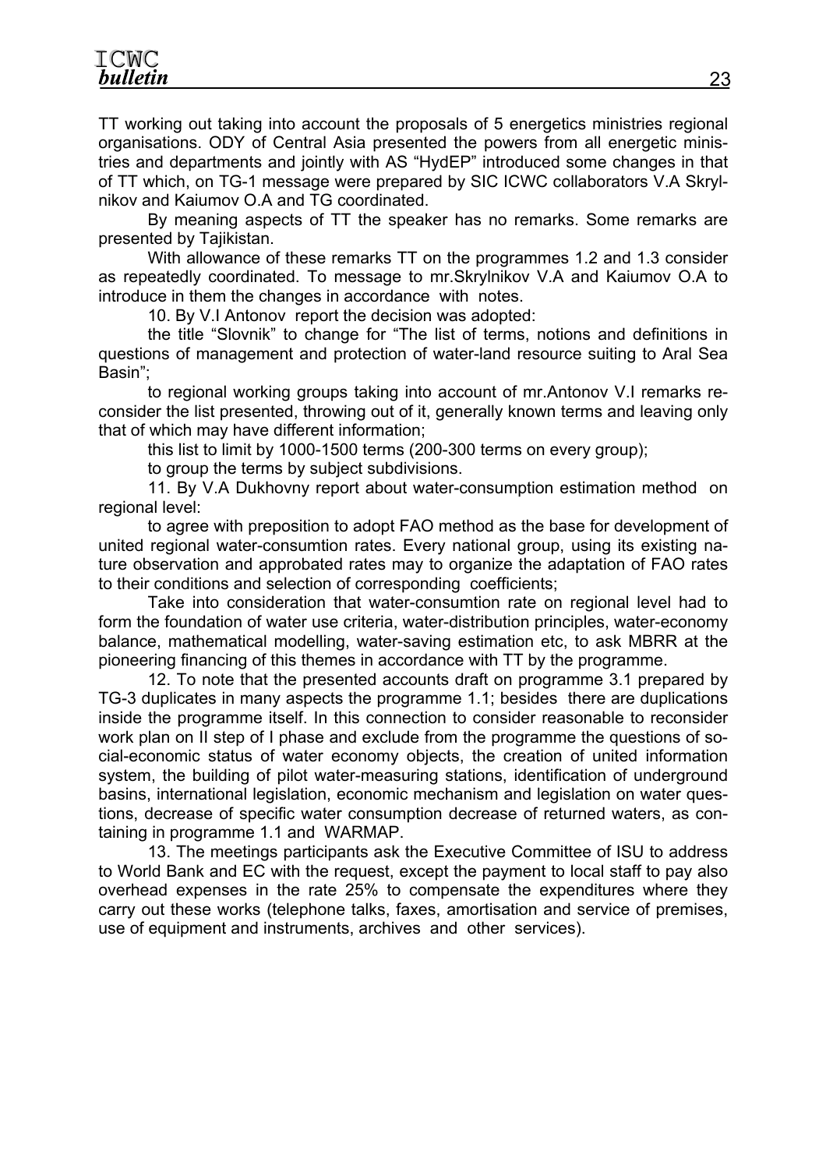TT working out taking into account the proposals of 5 energetics ministries regional organisations. ODY of Central Asia presented the powers from all energetic ministries and departments and jointly with AS "HydEP" introduced some changes in that of TT which, on TG-1 message were prepared by SIC ICWC collaborators V.A Skrylnikov and Kaiumov O.A and TG coordinated.

By meaning aspects of TT the speaker has no remarks. Some remarks are presented by Tajikistan.

With allowance of these remarks TT on the programmes 1.2 and 1.3 consider as repeatedly coordinated. To message to mr.Skrylnikov V.A and Kaiumov O.A to introduce in them the changes in accordance with notes.

10. By V.I Antonov report the decision was adopted:

the title "Slovnik" to change for "The list of terms, notions and definitions in questions of management and protection of water-land resource suiting to Aral Sea Basin";

to regional working groups taking into account of mr.Antonov V.I remarks reconsider the list presented, throwing out of it, generally known terms and leaving only that of which may have different information;

this list to limit by 1000-1500 terms (200-300 terms on every group);

to group the terms by subject subdivisions.

11. By V.A Dukhovny report about water-consumption estimation method on regional level:

to agree with preposition to adopt FAO method as the base for development of united regional water-consumtion rates. Every national group, using its existing nature observation and approbated rates may to organize the adaptation of FAO rates to their conditions and selection of corresponding coefficients;

Take into consideration that water-consumtion rate on regional level had to form the foundation of water use criteria, water-distribution principles, water-economy balance, mathematical modelling, water-saving estimation etc, to ask МBRR at the pioneering financing of this themes in accordance with TT by the programme.

12. To note that the presented accounts draft on programme 3.1 prepared by TG-3 duplicates in many aspects the programme 1.1; besides there are duplications inside the programme itself. In this connection to consider reasonable to reconsider work plan on II step of I phase and exclude from the programme the questions of social-economic status of water economy objects, the creation of united information system, the building of pilot water-measuring stations, identification of underground basins, international legislation, economic mechanism and legislation on water questions, decrease of specific water consumption decrease of returned waters, as containing in programme 1.1 and WARMAP.

13. The meetings participants ask the Executive Committee of ISU to address to World Bank and EC with the request, except the payment to local staff to pay also overhead expenses in the rate 25% to compensate the expenditures where they carry out these works (telephone talks, faxes, amortisation and service of premises, use of equipment and instruments, archives and other services).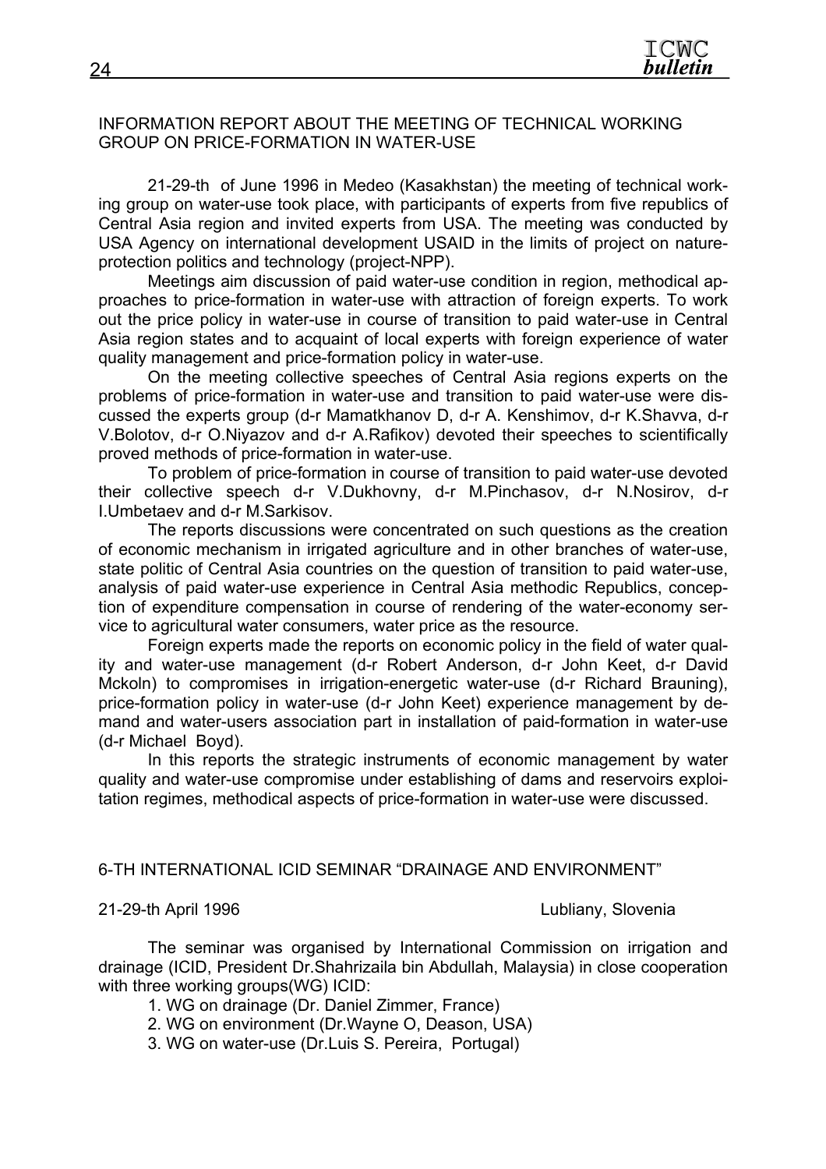#### INFORMATION REPORT ABOUT THE MEETING OF TECHNICAL WORKING GROUP ON PRICE-FORMATION IN WATER-USE

21-29-th of June 1996 in Medeo (Kasakhstan) the meeting of technical working group on water-use took place, with participants of experts from five republics of Central Asia region and invited experts from USA. The meeting was conducted by USA Agency on international development USAID in the limits of project on natureprotection politics and technology (project-NPP).

Meetings aim discussion of paid water-use condition in region, methodical approaches to price-formation in water-use with attraction of foreign experts. To work out the price policy in water-use in course of transition to paid water-use in Central Asia region states and to acquaint of local experts with foreign experience of water quality management and price-formation policy in water-use.

On the meeting collective speeches of Central Asia regions experts on the problems of price-formation in water-use and transition to paid water-use were discussed the experts group (d-r Mamatkhanov D, d-r A. Kenshimov, d-r K.Shavva, d-r V.Bolotov, d-r O.Niyazov and d-r A.Rafikov) devoted their speeches to scientifically proved methods of price-formation in water-use.

To problem of price-formation in course of transition to paid water-use devoted their collective speech d-r V.Dukhovny, d-r M.Pinchasov, d-r N.Nosirov, d-r I.Umbetaev and d-r M.Sarkisov.

The reports discussions were concentrated on such questions as the creation of economic mechanism in irrigated agriculture and in other branches of water-use, state politic of Central Asia countries on the question of transition to paid water-use, analysis of paid water-use experience in Central Asia methodic Republics, conception of expenditure compensation in course of rendering of the water-economy service to agricultural water consumers, water price as the resource.

Foreign experts made the reports on economic policy in the field of water quality and water-use management (d-r Robert Anderson, d-r John Keet, d-r David Mckoln) to compromises in irrigation-energetic water-use (d-r Richard Brauning), price-formation policy in water-use (d-r John Keet) experience management by demand and water-users association part in installation of paid-formation in water-use (d-r Michael Boyd).

In this reports the strategic instruments of economic management by water quality and water-use compromise under establishing of dams and reservoirs exploitation regimes, methodical aspects of price-formation in water-use were discussed.

#### 6-TH INTERNATIONAL ICID SEMINAR "DRAINAGE AND ENVIRONMENT"

#### 21-29-th April 1996 Lubliany, Slovenia

The seminar was organised by International Commission on irrigation and drainage (ICID, President Dr.Shahrizaila bin Abdullah, Malaysia) in close cooperation with three working groups(WG) ICID:

1. WG on drainage (Dr. Daniel Zimmer, France)

- 2. WG on environment (Dr.Wayne O, Deason, USA)
- 3. WG on water-use (Dr.Luis S. Pereira, Portugal)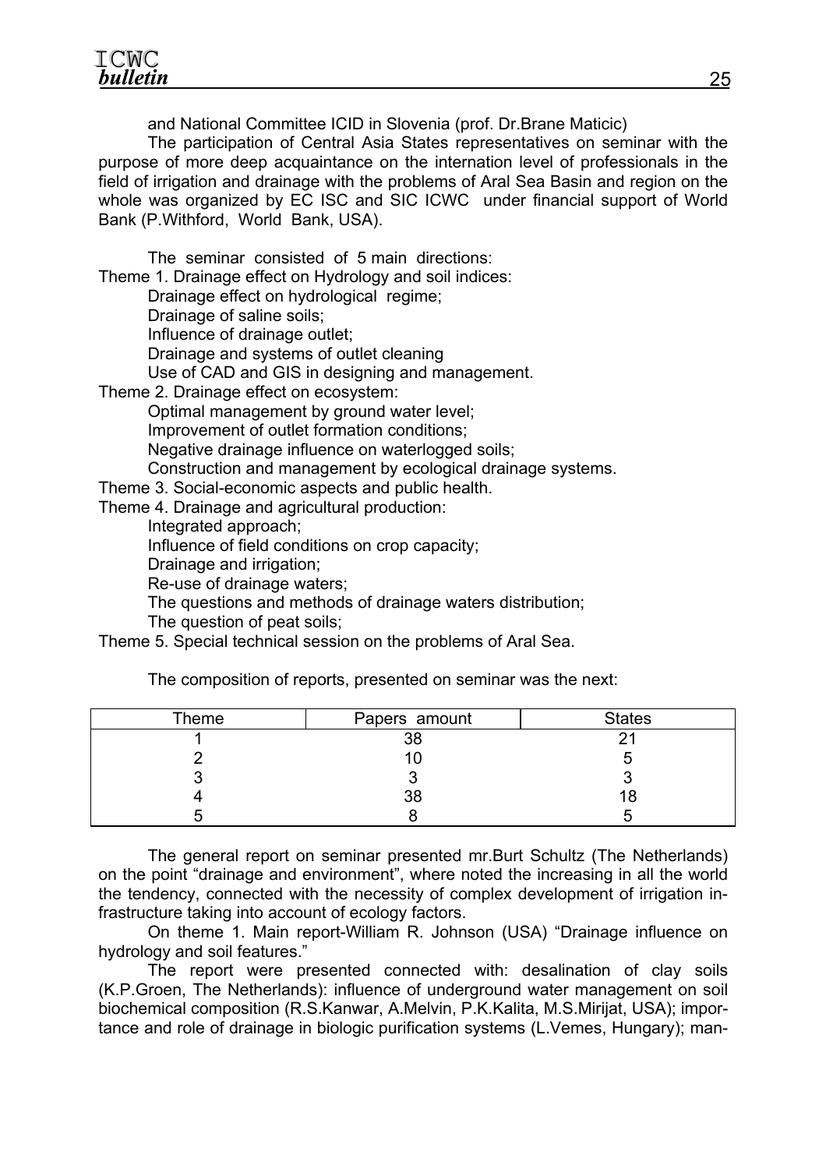and National Committee ICID in Slovenia (prof. Dr.Brane Maticic)

The participation of Central Asia States representatives on seminar with the purpose of more deep acquaintance on the internation level of professionals in the field of irrigation and drainage with the problems of Aral Sea Basin and region on the whole was organized by EC ISC and SIC ICWC under financial support of World Bank (P.Withford, World Bank, USA).

The seminar consisted of 5 main directions:

Theme 1. Drainage effect on Hydrology and soil indices:

Drainage effect on hydrological regime;

Drainage of saline soils;

Influence of drainage outlet;

Drainage and systems of outlet cleaning

Use of CAD and GIS in designing and management.

Theme 2. Drainage effect on ecosystem:

Optimal management by ground water level;

Improvement of outlet formation conditions;

Negative drainage influence on waterlogged soils;

Construction and management by ecological drainage systems.

Theme 3. Social-economic aspects and public health.

Theme 4. Drainage and agricultural production:

Integrated approach;

Influence of field conditions on crop capacity;

Drainage and irrigation;

Re-use of drainage waters;

The questions and methods of drainage waters distribution;

The question of peat soils;

Theme 5. Special technical session on the problems of Aral Sea.

The composition of reports, presented on seminar was the next:

| Theme | Papers amount | <b>States</b> |
|-------|---------------|---------------|
|       | 38            |               |
|       |               |               |
|       |               |               |
|       | 38            |               |
|       |               |               |

The general report on seminar presented mr.Burt Schultz (The Netherlands) on the point "drainage and environment", where noted the increasing in all the world the tendency, connected with the necessity of complex development of irrigation infrastructure taking into account of ecology factors.

On theme 1. Main report-William R. Johnson (USA) "Drainage influence on hydrology and soil features."

The report were presented connected with: desalination of clay soils (K.P.Groen, The Netherlands): influence of underground water management on soil biochemical composition (R.S.Kanwar, A.Melvin, P.K.Kalita, M.S.Mirijat, USA); importance and role of drainage in biologic purification systems (L.Vemes, Hungary); man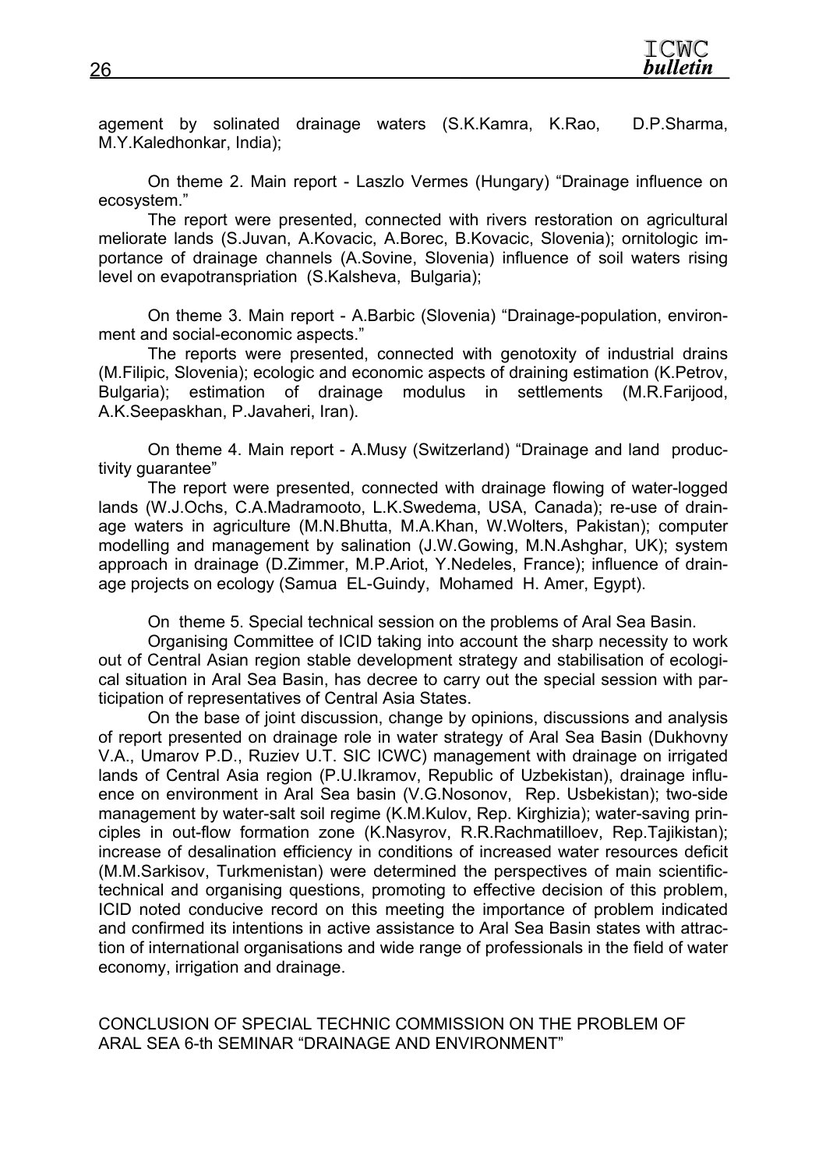agement by solinated drainage waters (S.K.Kamra, K.Rao, D.P.Sharma, M.Y.Kaledhonkar, India);

On theme 2. Main report - Laszlo Vermes (Hungary) "Drainage influence on ecosystem."

The report were presented, connected with rivers restoration on agricultural meliorate lands (S.Juvan, A.Kovacic, A.Borec, B.Kovacic, Slovenia); ornitologic importance of drainage channels (A.Sovine, Slovenia) influence of soil waters rising level on evapotranspriation (S.Kalsheva, Bulgaria);

On theme 3. Main report - A.Barbic (Slovenia) "Drainage-population, environment and social-economic aspects."

The reports were presented, connected with genotoxity of industrial drains (M.Filipic, Slovenia); ecologic and economic aspects of draining estimation (K.Petrov, Bulgaria); estimation of drainage modulus in settlements (M.R.Farijood, A.K.Seepaskhan, P.Javaheri, Iran).

On theme 4. Main report - A.Musy (Switzerland) "Drainage and land productivity guarantee"

The report were presented, connected with drainage flowing of water-logged lands (W.J.Ochs, C.A.Madramooto, L.K.Swedema, USA, Canada); re-use of drainage waters in agriculture (M.N.Bhutta, M.A.Khan, W.Wolters, Pakistan); computer modelling and management by salination (J.W.Gowing, M.N.Ashghar, UK); system approach in drainage (D.Zimmer, M.P.Ariot, Y.Nedeles, France); influence of drainage projects on ecology (Samua EL-Guindy, Mohamed H. Amer, Egypt).

On theme 5. Special technical session on the problems of Aral Sea Basin.

Organising Committee of ICID taking into account the sharp necessity to work out of Central Asian region stable development strategy and stabilisation of ecological situation in Aral Sea Basin, has decree to carry out the special session with participation of representatives of Central Asia States.

On the base of joint discussion, change by opinions, discussions and analysis of report presented on drainage role in water strategy of Aral Sea Basin (Dukhovny V.A., Umarov P.D., Ruziev U.T. SIC ICWC) management with drainage on irrigated lands of Central Asia region (P.U.Ikramov, Republic of Uzbekistan), drainage influence on environment in Aral Sea basin (V.G.Nosonov, Rep. Usbekistan); two-side management by water-salt soil regime (K.M.Kulov, Rep. Kirghizia); water-saving principles in out-flow formation zone (K.Nasyrov, R.R.Rachmatilloev, Rep.Tajikistan); increase of desalination efficiency in conditions of increased water resources deficit (M.M.Sarkisov, Turkmenistan) were determined the perspectives of main scientifictechnical and organising questions, promoting to effective decision of this problem, ICID noted conducive record on this meeting the importance of problem indicated and confirmed its intentions in active assistance to Aral Sea Basin states with attraction of international organisations and wide range of professionals in the field of water economy, irrigation and drainage.

CONCLUSION OF SPECIAL TECHNIC COMMISSION ON THE PROBLEM OF ARAL SEA 6-th SEMINAR "DRAINAGE AND ENVIRONMENT"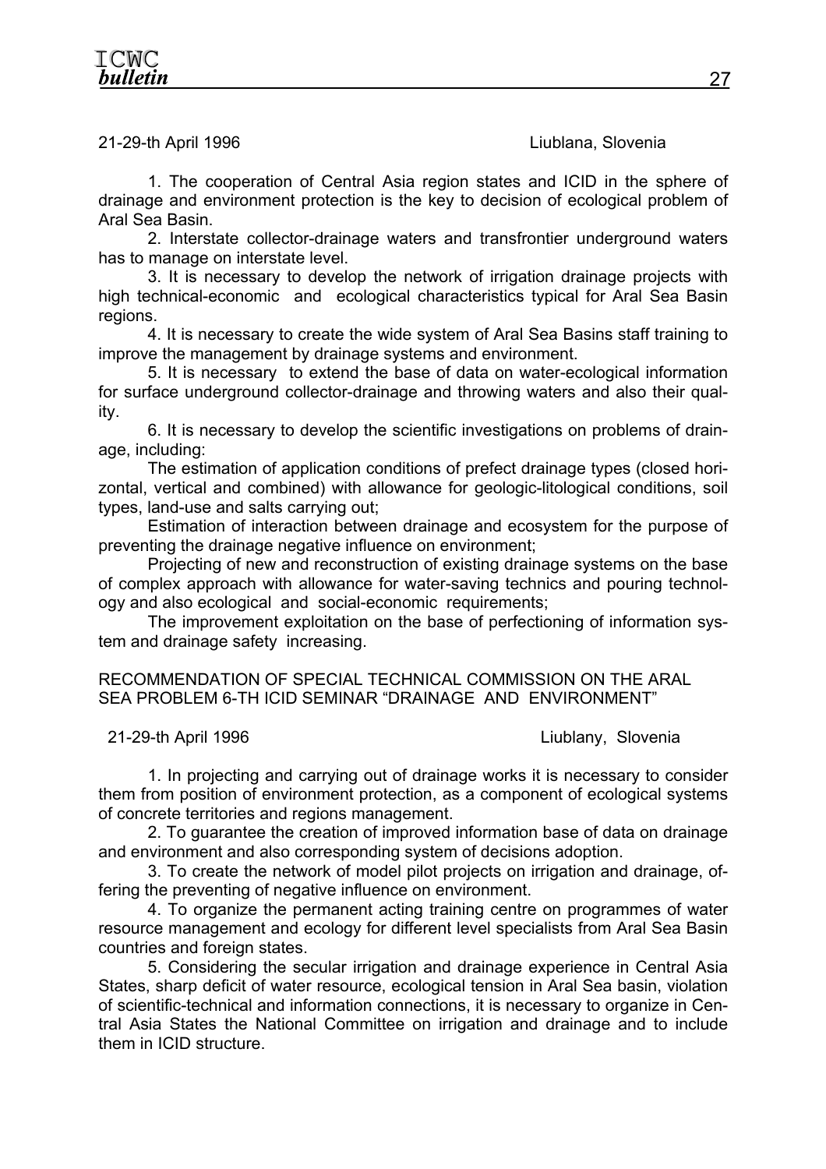### 21-29-th April 1996 Liublana, Slovenia

1. The cooperation of Central Asia region states and ICID in the sphere of drainage and environment protection is the key to decision of ecological problem of Aral Sea Basin.

2. Interstate collector-drainage waters and transfrontier underground waters has to manage on interstate level.

3. It is necessary to develop the network of irrigation drainage projects with high technical-economic and ecological characteristics typical for Aral Sea Basin regions.

4. It is necessary to create the wide system of Aral Sea Basins staff training to improve the management by drainage systems and environment.

5. It is necessary to extend the base of data on water-ecological information for surface underground collector-drainage and throwing waters and also their quality.

6. It is necessary to develop the scientific investigations on problems of drainage, including:

The estimation of application conditions of prefect drainage types (closed horizontal, vertical and combined) with allowance for geologic-litological conditions, soil types, land-use and salts carrying out;

Estimation of interaction between drainage and ecosystem for the purpose of preventing the drainage negative influence on environment;

Projecting of new and reconstruction of existing drainage systems on the base of complex approach with allowance for water-saving technics and pouring technology and also ecological and social-economic requirements;

The improvement exploitation on the base of perfectioning of information system and drainage safety increasing.

RECOMMENDATION OF SPECIAL TECHNICAL COMMISSION ON THE ARAL SEA PROBLEM 6-TH ICID SEMINAR "DRAINAGE AND ENVIRONMENT"

21-29-th April 1996 Liublany, Slovenia

1. In projecting and carrying out of drainage works it is necessary to consider them from position of environment protection, as a component of ecological systems of concrete territories and regions management.

2. To guarantee the creation of improved information base of data on drainage and environment and also corresponding system of decisions adoption.

3. To create the network of model pilot projects on irrigation and drainage, offering the preventing of negative influence on environment.

4. To organize the permanent acting training centre on programmes of water resource management and ecology for different level specialists from Aral Sea Basin countries and foreign states.

5. Considering the secular irrigation and drainage experience in Central Asia States, sharp deficit of water resource, ecological tension in Aral Sea basin, violation of scientific-technical and information connections, it is necessary to organize in Central Asia States the National Committee on irrigation and drainage and to include them in ICID structure.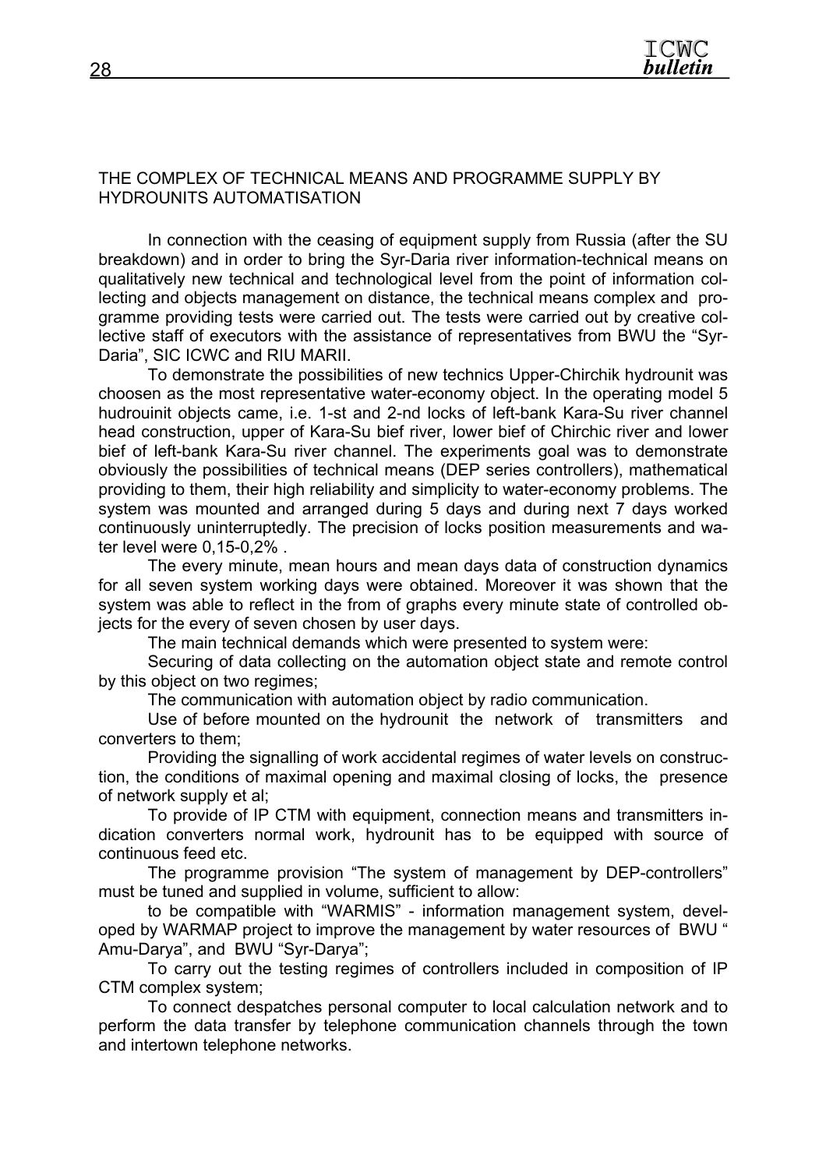## THE COMPLEX OF TECHNICAL MEANS AND PROGRAMME SUPPLY BY HYDROUNITS AUTOMATISATION

In connection with the ceasing of equipment supply from Russia (after the SU breakdown) and in order to bring the Syr-Daria river information-technical means on qualitatively new technical and technological level from the point of information collecting and objects management on distance, the technical means complex and programme providing tests were carried out. The tests were carried out by creative collective staff of executors with the assistance of representatives from BWU the "Syr-Daria", SIC ICWC and RIU MARII.

To demonstrate the possibilities of new technics Upper-Chirchik hydrounit was choosen as the most representative water-economy object. In the operating model 5 hudrouinit objects came, i.e. 1-st and 2-nd locks of left-bank Kara-Su river channel head construction, upper of Kara-Su bief river, lower bief of Chirchic river and lower bief of left-bank Kara-Su river channel. The experiments goal was to demonstrate obviously the possibilities of technical means (DEP series controllers), mathematical providing to them, their high reliability and simplicity to water-economy problems. The system was mounted and arranged during 5 days and during next 7 days worked continuously uninterruptedly. The precision of locks position measurements and water level were 0,15-0,2% .

The every minute, mean hours and mean days data of construction dynamics for all seven system working days were obtained. Moreover it was shown that the system was able to reflect in the from of graphs every minute state of controlled objects for the every of seven chosen by user days.

The main technical demands which were presented to system were:

Securing of data collecting on the automation object state and remote control by this object on two regimes;

The communication with automation object by radio communication.

Use of before mounted on the hydrounit the network of transmitters and converters to them;

Providing the signalling of work accidental regimes of water levels on construction, the conditions of maximal opening and maximal closing of locks, the presence of network supply et al;

To provide of IP CTM with equipment, connection means and transmitters indication converters normal work, hydrounit has to be equipped with source of continuous feed etc.

The programme provision "The system of management by DEP-controllers" must be tuned and supplied in volume, sufficient to allow:

to be compatible with "WARMIS" - information management system, developed by WARMAP project to improve the management by water resources of BWU " Amu-Darya", and BWU "Syr-Darya";

To carry out the testing regimes of controllers included in composition of IP CTM complex system;

To connect despatches personal computer to local calculation network and to perform the data transfer by telephone communication channels through the town and intertown telephone networks.